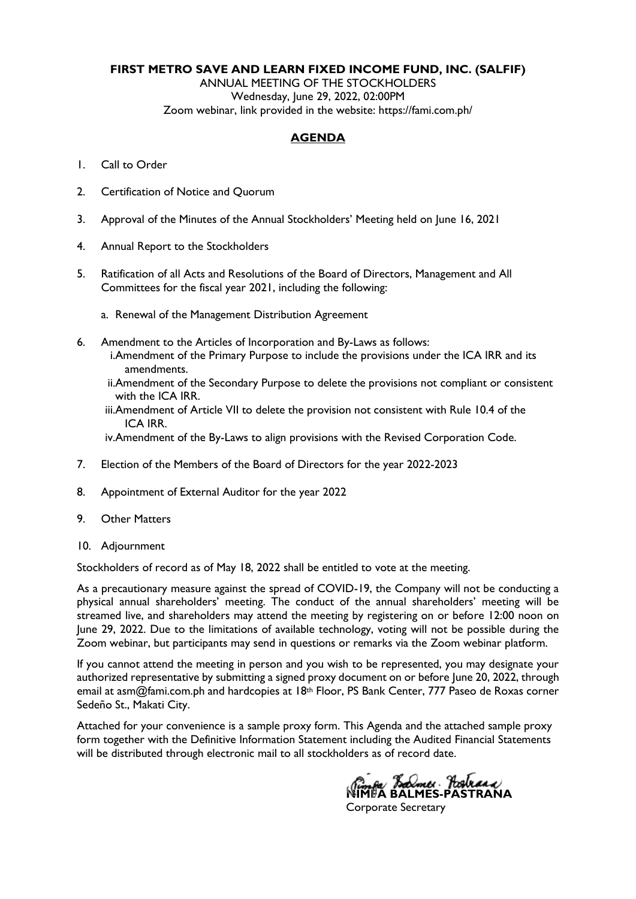### **FIRST METRO SAVE AND LEARN FIXED INCOME FUND, INC. (SALFIF)**

ANNUAL MEETING OF THE STOCKHOLDERS Wednesday, June 29, 2022, 02:00PM Zoom webinar, link provided in the website: [https://fami.com.ph/](https://fami.com.ph/tag/pressroom/)

### **AGENDA**

- 1. Call to Order
- 2. Certification of Notice and Quorum
- 3. Approval of the Minutes of the Annual Stockholders' Meeting held on June 16, 2021
- 4. Annual Report to the Stockholders
- 5. Ratification of all Acts and Resolutions of the Board of Directors, Management and All Committees for the fiscal year 2021, including the following:
	- a. Renewal of the Management Distribution Agreement
- 6. Amendment to the Articles of Incorporation and By-Laws as follows:
	- i.Amendment of the Primary Purpose to include the provisions under the ICA IRR and its amendments.
	- ii.Amendment of the Secondary Purpose to delete the provisions not compliant or consistent with the ICA IRR.
	- iii.Amendment of Article VII to delete the provision not consistent with Rule 10.4 of the ICA IRR.

iv.Amendment of the By-Laws to align provisions with the Revised Corporation Code.

- 7. Election of the Members of the Board of Directors for the year 2022-2023
- 8. Appointment of External Auditor for the year 2022
- 9. Other Matters
- 10. Adjournment

Stockholders of record as of May 18, 2022 shall be entitled to vote at the meeting.

As a precautionary measure against the spread of COVID-19, the Company will not be conducting a physical annual shareholders' meeting. The conduct of the annual shareholders' meeting will be streamed live, and shareholders may attend the meeting by registering on or before 12:00 noon on June 29, 2022. Due to the limitations of available technology, voting will not be possible during the Zoom webinar, but participants may send in questions or remarks via the Zoom webinar platform.

If you cannot attend the meeting in person and you wish to be represented, you may designate your authorized representative by submitting a signed proxy document on or before June 20, 2022, through email at asm@fami.com.ph and hardcopies at 18th Floor, PS Bank Center, 777 Paseo de Roxas corner Sedeño St., Makati City.

Attached for your convenience is a sample proxy form. This Agenda and the attached sample proxy form together with the Definitive Information Statement including the Audited Financial Statements will be distributed through electronic mail to all stockholders as of record date.

<u>nga *Bolmes* Arabiaan</u><br>10 BALMES-PASTRANA Corporate Secretary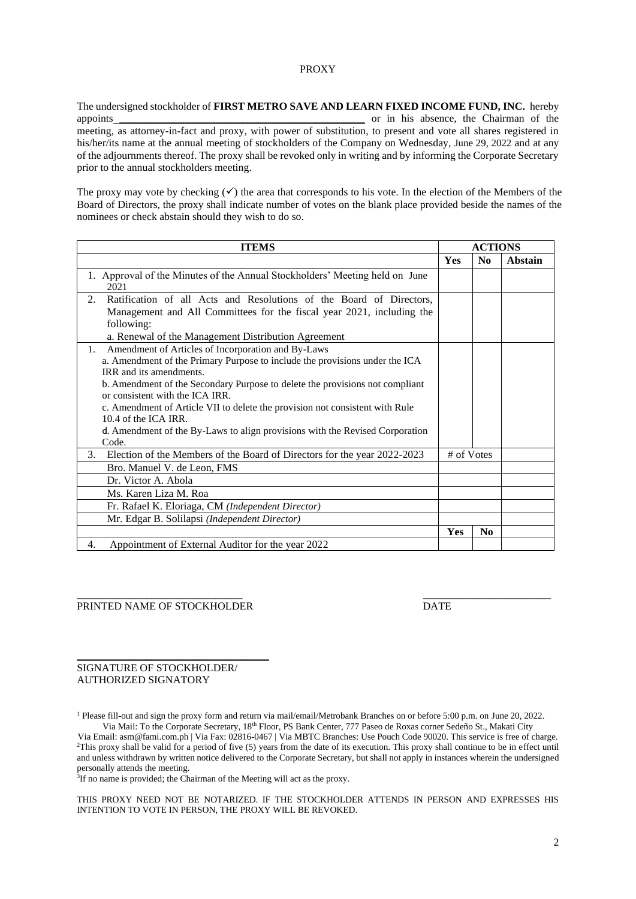#### PROXY

The undersigned stockholder of **FIRST METRO SAVE AND LEARN FIXED INCOME FUND, INC.** hereby appoints \_\_\_\_\_\_\_\_\_\_\_\_\_\_\_\_\_\_\_\_\_\_\_\_\_\_\_\_\_\_\_\_\_\_\_\_\_\_\_\_\_\_\_\_\_\_ or in his absence, the Chairman of the meeting, as attorney-in-fact and proxy, with power of substitution, to present and vote all shares registered in his/her/its name at the annual meeting of stockholders of the Company on Wednesday, June 29, 2022 and at any of the adjournments thereof. The proxy shall be revoked only in writing and by informing the Corporate Secretary prior to the annual stockholders meeting.

The proxy may vote by checking  $(\checkmark)$  the area that corresponds to his vote. In the election of the Members of the Board of Directors, the proxy shall indicate number of votes on the blank place provided beside the names of the nominees or check abstain should they wish to do so.

| <b>ITEMS</b>                                                                 |            | <b>ACTIONS</b> |         |
|------------------------------------------------------------------------------|------------|----------------|---------|
|                                                                              | <b>Yes</b> | $\bf No$       | Abstain |
| 1. Approval of the Minutes of the Annual Stockholders' Meeting held on June  |            |                |         |
| 2021                                                                         |            |                |         |
| Ratification of all Acts and Resolutions of the Board of Directors,<br>2.    |            |                |         |
| Management and All Committees for the fiscal year 2021, including the        |            |                |         |
| following:                                                                   |            |                |         |
| a. Renewal of the Management Distribution Agreement                          |            |                |         |
| Amendment of Articles of Incorporation and By-Laws<br>1.                     |            |                |         |
| a. Amendment of the Primary Purpose to include the provisions under the ICA  |            |                |         |
| IRR and its amendments.                                                      |            |                |         |
| b. Amendment of the Secondary Purpose to delete the provisions not compliant |            |                |         |
| or consistent with the ICA IRR.                                              |            |                |         |
| c. Amendment of Article VII to delete the provision not consistent with Rule |            |                |         |
| $10.4$ of the ICA IRR.                                                       |            |                |         |
| d. Amendment of the By-Laws to align provisions with the Revised Corporation |            |                |         |
| Code.                                                                        |            |                |         |
| 3. Election of the Members of the Board of Directors for the year 2022-2023  | # of Votes |                |         |
| Bro. Manuel V. de Leon, FMS                                                  |            |                |         |
| Dr. Victor A. Abola                                                          |            |                |         |
| Ms. Karen Liza M. Roa                                                        |            |                |         |
| Fr. Rafael K. Eloriaga, CM (Independent Director)                            |            |                |         |
| Mr. Edgar B. Solilapsi (Independent Director)                                |            |                |         |
|                                                                              | Yes        | N <sub>0</sub> |         |
| Appointment of External Auditor for the year 2022<br>4.                      |            |                |         |

#### PRINTED NAME OF STOCKHOLDER DATE

#### SIGNATURE OF STOCKHOLDER/ AUTHORIZED SIGNATORY

\_\_\_\_\_\_\_\_\_\_\_\_\_\_\_\_\_\_\_\_\_\_\_\_\_\_\_\_\_\_\_\_\_\_\_\_

<sup>1</sup> Please fill-out and sign the proxy form and return via mail/email/Metrobank Branches on or before 5:00 p.m. on June 20, 2022. Via Mail: To the Corporate Secretary, 18th Floor, PS Bank Center, 777 Paseo de Roxas corner Sedeño St., Makati City

\_\_\_\_\_\_\_\_\_\_\_\_\_\_\_\_\_\_\_\_\_\_\_\_\_\_\_\_\_\_\_ \_\_\_\_\_\_\_\_\_\_\_\_\_\_\_\_\_\_\_\_\_\_\_\_

Via Email: asm@fami.com.ph | Via Fax: 02816-0467 | Via MBTC Branches: Use Pouch Code 90020. This service is free of charge. <sup>2</sup>This proxy shall be valid for a period of five (5) years from the date of its execution. This proxy shall continue to be in effect until and unless withdrawn by written notice delivered to the Corporate Secretary, but shall not apply in instances wherein the undersigned personally attends the meeting.

<sup>3</sup>If no name is provided; the Chairman of the Meeting will act as the proxy.

THIS PROXY NEED NOT BE NOTARIZED. IF THE STOCKHOLDER ATTENDS IN PERSON AND EXPRESSES HIS INTENTION TO VOTE IN PERSON, THE PROXY WILL BE REVOKED.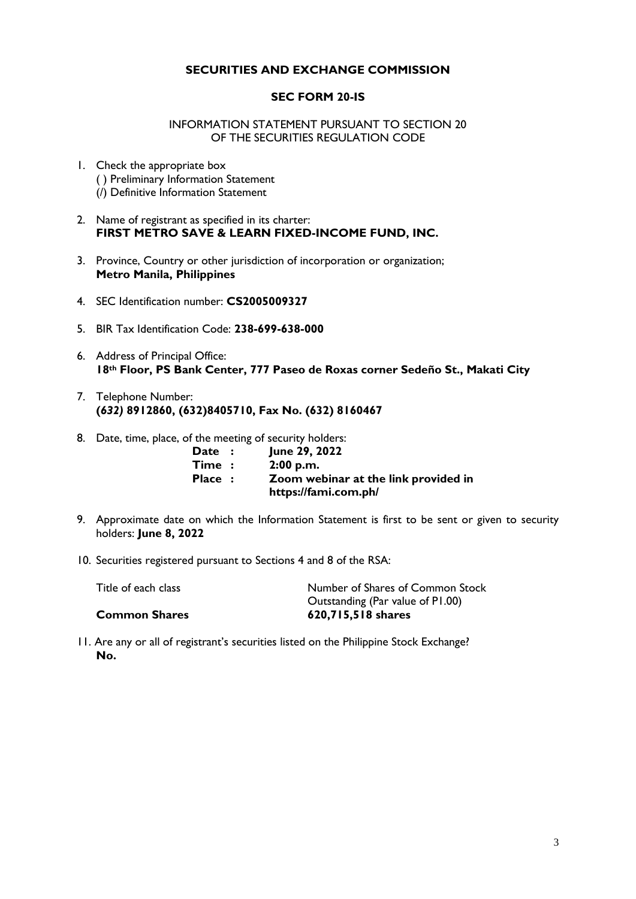## **SECURITIES AND EXCHANGE COMMISSION**

## **SEC FORM 20-IS**

## INFORMATION STATEMENT PURSUANT TO SECTION 20 OF THE SECURITIES REGULATION CODE

- 1. Check the appropriate box ( ) Preliminary Information Statement (/) Definitive Information Statement
- 2. Name of registrant as specified in its charter: **FIRST METRO SAVE & LEARN FIXED-INCOME FUND, INC.**
- 3. Province, Country or other jurisdiction of incorporation or organization; **Metro Manila, Philippines**
- 4. SEC Identification number: **CS2005009327**
- 5. BIR Tax Identification Code: **238-699-638-000**
- 6. Address of Principal Office: **18th Floor, PS Bank Center, 777 Paseo de Roxas corner Sedeño St., Makati City**
- 7. Telephone Number: **(***632)* **8912860, (632)8405710, Fax No. (632) 8160467**
- 8. Date, time, place, of the meeting of security holders:

| Date : | June 29, 2022                        |
|--------|--------------------------------------|
| Time:  | 2:00 p.m.                            |
| Place: | Zoom webinar at the link provided in |
|        | https://fami.com.ph/                 |

- 9. Approximate date on which the Information Statement is first to be sent or given to security holders: **June 8, 2022**
- 10. Securities registered pursuant to Sections 4 and 8 of the RSA:

| Title of each class  | Number of Shares of Common Stock |
|----------------------|----------------------------------|
|                      | Outstanding (Par value of P1.00) |
| <b>Common Shares</b> | 620,715,518 shares               |

11. Are any or all of registrant's securities listed on the Philippine Stock Exchange? **No.**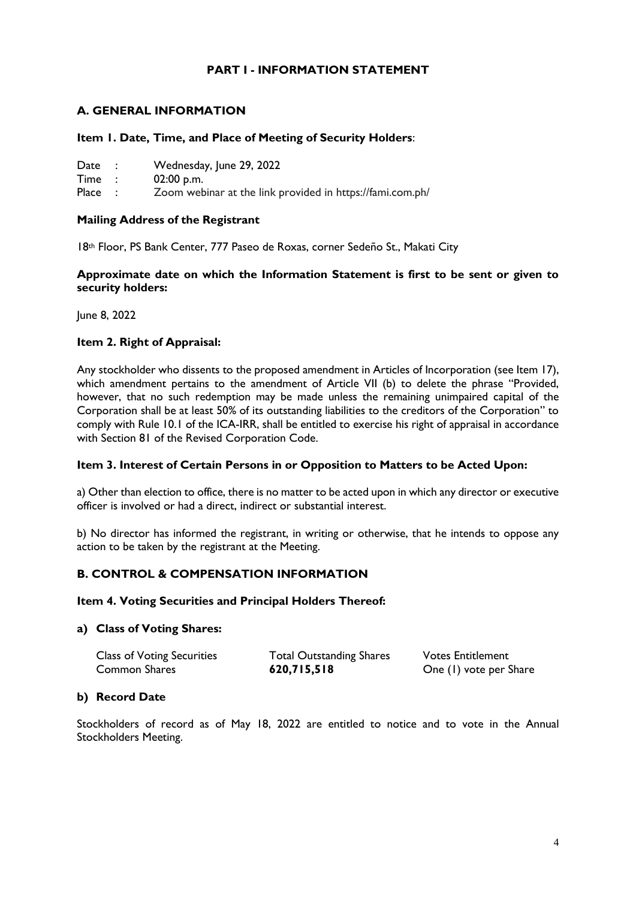## **PART I - INFORMATION STATEMENT**

## **A. GENERAL INFORMATION**

## **Item 1. Date, Time, and Place of Meeting of Security Holders**:

- Date : Wednesday, June 29, 2022<br>
Time : 02:00 p.m.
- $02:00$  p.m.

Place : Zoom webinar at the link provided in https://fami.com.ph/

## **Mailing Address of the Registrant**

18th Floor, PS Bank Center, 777 Paseo de Roxas, corner Sedeño St., Makati City

## **Approximate date on which the Information Statement is first to be sent or given to security holders:**

June 8, 2022

## **Item 2. Right of Appraisal:**

Any stockholder who dissents to the proposed amendment in Articles of Incorporation (see Item 17), which amendment pertains to the amendment of Article VII (b) to delete the phrase "Provided, however, that no such redemption may be made unless the remaining unimpaired capital of the Corporation shall be at least 50% of its outstanding liabilities to the creditors of the Corporation" to comply with Rule 10.1 of the ICA-IRR, shall be entitled to exercise his right of appraisal in accordance with Section 81 of the Revised Corporation Code.

### **Item 3. Interest of Certain Persons in or Opposition to Matters to be Acted Upon:**

a) Other than election to office, there is no matter to be acted upon in which any director or executive officer is involved or had a direct, indirect or substantial interest.

b) No director has informed the registrant, in writing or otherwise, that he intends to oppose any action to be taken by the registrant at the Meeting.

## **B. CONTROL & COMPENSATION INFORMATION**

### **Item 4. Voting Securities and Principal Holders Thereof:**

### **a) Class of Voting Shares:**

| <b>Class of Voting Securities</b> | <b>Total Outstanding Shares</b> | <b>Votes Entitlement</b> |
|-----------------------------------|---------------------------------|--------------------------|
| Common Shares                     | 620,715,518                     | One (1) vote per Share   |

## **b) Record Date**

Stockholders of record as of May 18, 2022 are entitled to notice and to vote in the Annual Stockholders Meeting.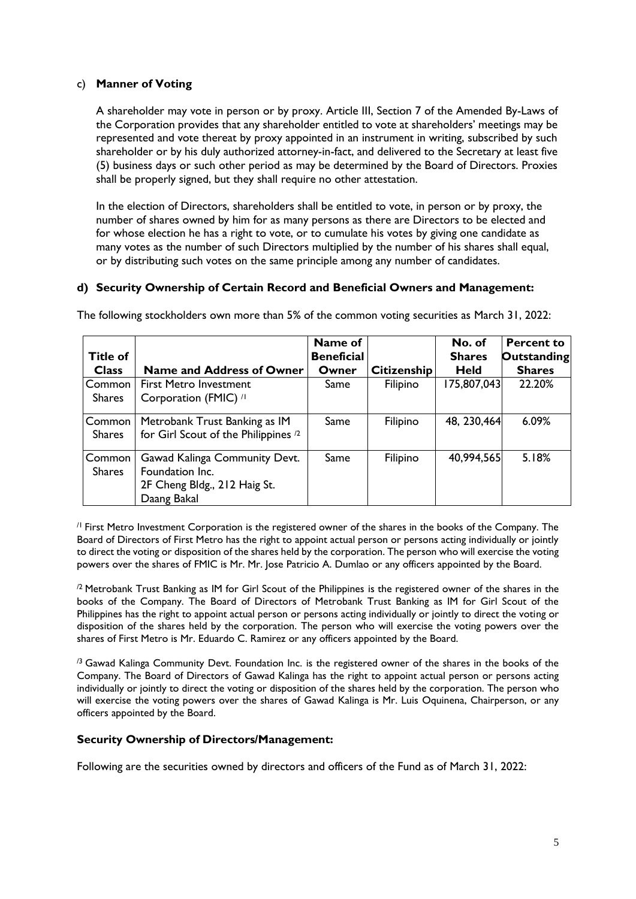## c) **Manner of Voting**

A shareholder may vote in person or by proxy. Article III, Section 7 of the Amended By-Laws of the Corporation provides that any shareholder entitled to vote at shareholders' meetings may be represented and vote thereat by proxy appointed in an instrument in writing, subscribed by such shareholder or by his duly authorized attorney-in-fact, and delivered to the Secretary at least five (5) business days or such other period as may be determined by the Board of Directors. Proxies shall be properly signed, but they shall require no other attestation.

In the election of Directors, shareholders shall be entitled to vote, in person or by proxy, the number of shares owned by him for as many persons as there are Directors to be elected and for whose election he has a right to vote, or to cumulate his votes by giving one candidate as many votes as the number of such Directors multiplied by the number of his shares shall equal, or by distributing such votes on the same principle among any number of candidates.

### **d) Security Ownership of Certain Record and Beneficial Owners and Management:**

| <b>Title of</b>         |                                                                                                 | Name of<br><b>Beneficial</b> |                    | No. of<br><b>Shares</b> | <b>Percent to</b><br><b>Outstanding</b> |
|-------------------------|-------------------------------------------------------------------------------------------------|------------------------------|--------------------|-------------------------|-----------------------------------------|
| <b>Class</b>            | <b>Name and Address of Owner</b>                                                                | Owner                        | <b>Citizenship</b> | <b>Held</b>             | <b>Shares</b>                           |
| Common<br><b>Shares</b> | <b>First Metro Investment</b><br>Corporation (FMIC) //                                          | Same                         | Filipino           | 175,807,043             | 22.20%                                  |
| Common<br><b>Shares</b> | Metrobank Trust Banking as IM<br>for Girl Scout of the Philippines <sup>/2</sup>                | Same                         | Filipino           | 48, 230, 464            | 6.09%                                   |
| Common<br><b>Shares</b> | Gawad Kalinga Community Devt.<br>Foundation Inc.<br>2F Cheng Bldg., 212 Haig St.<br>Daang Bakal | Same                         | Filipino           | 40,994,565              | 5.18%                                   |

The following stockholders own more than 5% of the common voting securities as March 31, 2022:

/1 First Metro Investment Corporation is the registered owner of the shares in the books of the Company. The Board of Directors of First Metro has the right to appoint actual person or persons acting individually or jointly to direct the voting or disposition of the shares held by the corporation. The person who will exercise the voting powers over the shares of FMIC is Mr. Mr. Jose Patricio A. Dumlao or any officers appointed by the Board.

<sup>/2</sup> Metrobank Trust Banking as IM for Girl Scout of the Philippines is the registered owner of the shares in the books of the Company. The Board of Directors of Metrobank Trust Banking as IM for Girl Scout of the Philippines has the right to appoint actual person or persons acting individually or jointly to direct the voting or disposition of the shares held by the corporation. The person who will exercise the voting powers over the shares of First Metro is Mr. Eduardo C. Ramirez or any officers appointed by the Board.

 $\beta$  Gawad Kalinga Community Devt. Foundation Inc. is the registered owner of the shares in the books of the Company. The Board of Directors of Gawad Kalinga has the right to appoint actual person or persons acting individually or jointly to direct the voting or disposition of the shares held by the corporation. The person who will exercise the voting powers over the shares of Gawad Kalinga is Mr. Luis Oquinena, Chairperson, or any officers appointed by the Board.

## **Security Ownership of Directors/Management:**

Following are the securities owned by directors and officers of the Fund as of March 31, 2022: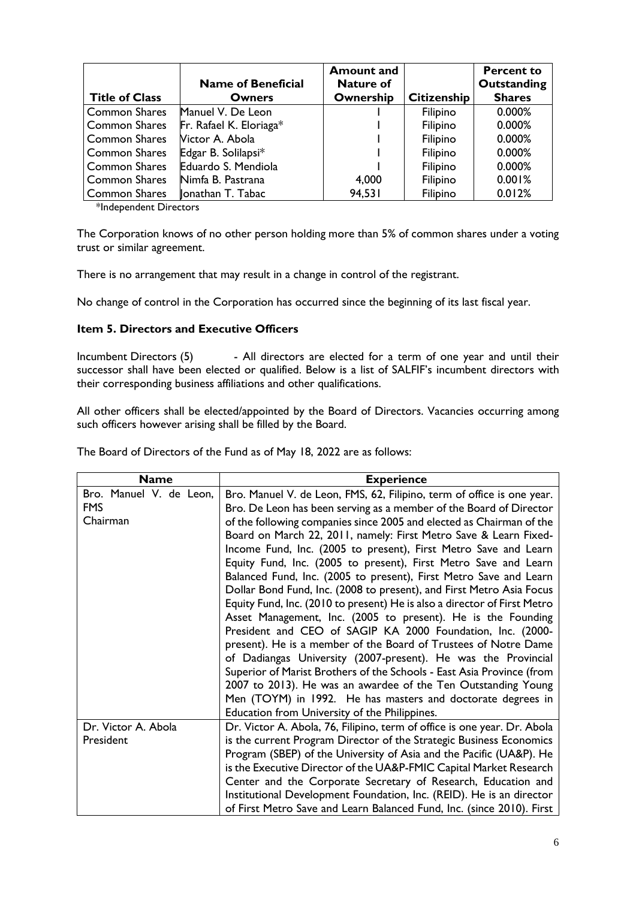|                       | <b>Name of Beneficial</b> | <b>Amount and</b><br><b>Nature of</b> |                    | <b>Percent to</b><br>Outstanding |
|-----------------------|---------------------------|---------------------------------------|--------------------|----------------------------------|
| <b>Title of Class</b> | <b>Owners</b>             | Ownership                             | <b>Citizenship</b> | <b>Shares</b>                    |
| <b>Common Shares</b>  | Manuel V. De Leon         |                                       | Filipino           | 0.000%                           |
| <b>Common Shares</b>  | Fr. Rafael K. Eloriaga*   |                                       | Filipino           | 0.000%                           |
| <b>Common Shares</b>  | Victor A. Abola           |                                       | Filipino           | 0.000%                           |
| Common Shares         | Edgar B. Solilapsi*       |                                       | Filipino           | 0.000%                           |
| <b>Common Shares</b>  | Eduardo S. Mendiola       |                                       | Filipino           | 0.000%                           |
| <b>Common Shares</b>  | Nimfa B. Pastrana         | 4,000                                 | Filipino           | 0.001%                           |
| <b>Common Shares</b>  | Jonathan T. Tabac         | 94,531                                | Filipino           | 0.012%                           |

\*Independent Directors

The Corporation knows of no other person holding more than 5% of common shares under a voting trust or similar agreement.

There is no arrangement that may result in a change in control of the registrant.

No change of control in the Corporation has occurred since the beginning of its last fiscal year.

## **Item 5. Directors and Executive Officers**

Incumbent Directors (5) - All directors are elected for a term of one year and until their successor shall have been elected or qualified. Below is a list of SALFIF's incumbent directors with their corresponding business affiliations and other qualifications.

All other officers shall be elected/appointed by the Board of Directors. Vacancies occurring among such officers however arising shall be filled by the Board.

The Board of Directors of the Fund as of May 18, 2022 are as follows:

| <b>Name</b>                                       | <b>Experience</b>                                                                                                                                                                                                                                                                                                                                                                                                                                                                                                                                                                                                                                                                                                       |
|---------------------------------------------------|-------------------------------------------------------------------------------------------------------------------------------------------------------------------------------------------------------------------------------------------------------------------------------------------------------------------------------------------------------------------------------------------------------------------------------------------------------------------------------------------------------------------------------------------------------------------------------------------------------------------------------------------------------------------------------------------------------------------------|
| Bro. Manuel V. de Leon,<br><b>FMS</b><br>Chairman | Bro. Manuel V. de Leon, FMS, 62, Filipino, term of office is one year.<br>Bro. De Leon has been serving as a member of the Board of Director<br>of the following companies since 2005 and elected as Chairman of the<br>Board on March 22, 2011, namely: First Metro Save & Learn Fixed-<br>Income Fund, Inc. (2005 to present), First Metro Save and Learn<br>Equity Fund, Inc. (2005 to present), First Metro Save and Learn<br>Balanced Fund, Inc. (2005 to present), First Metro Save and Learn<br>Dollar Bond Fund, Inc. (2008 to present), and First Metro Asia Focus<br>Equity Fund, Inc. (2010 to present) He is also a director of First Metro<br>Asset Management, Inc. (2005 to present). He is the Founding |
|                                                   | President and CEO of SAGIP KA 2000 Foundation, Inc. (2000-<br>present). He is a member of the Board of Trustees of Notre Dame<br>of Dadiangas University (2007-present). He was the Provincial<br>Superior of Marist Brothers of the Schools - East Asia Province (from<br>2007 to 2013). He was an awardee of the Ten Outstanding Young<br>Men (TOYM) in 1992. He has masters and doctorate degrees in                                                                                                                                                                                                                                                                                                                 |
|                                                   | Education from University of the Philippines.                                                                                                                                                                                                                                                                                                                                                                                                                                                                                                                                                                                                                                                                           |
| Dr. Victor A. Abola<br>President                  | Dr. Victor A. Abola, 76, Filipino, term of office is one year. Dr. Abola<br>is the current Program Director of the Strategic Business Economics<br>Program (SBEP) of the University of Asia and the Pacific (UA&P). He<br>is the Executive Director of the UA&P-FMIC Capital Market Research<br>Center and the Corporate Secretary of Research, Education and<br>Institutional Development Foundation, Inc. (REID). He is an director<br>of First Metro Save and Learn Balanced Fund, Inc. (since 2010). First                                                                                                                                                                                                          |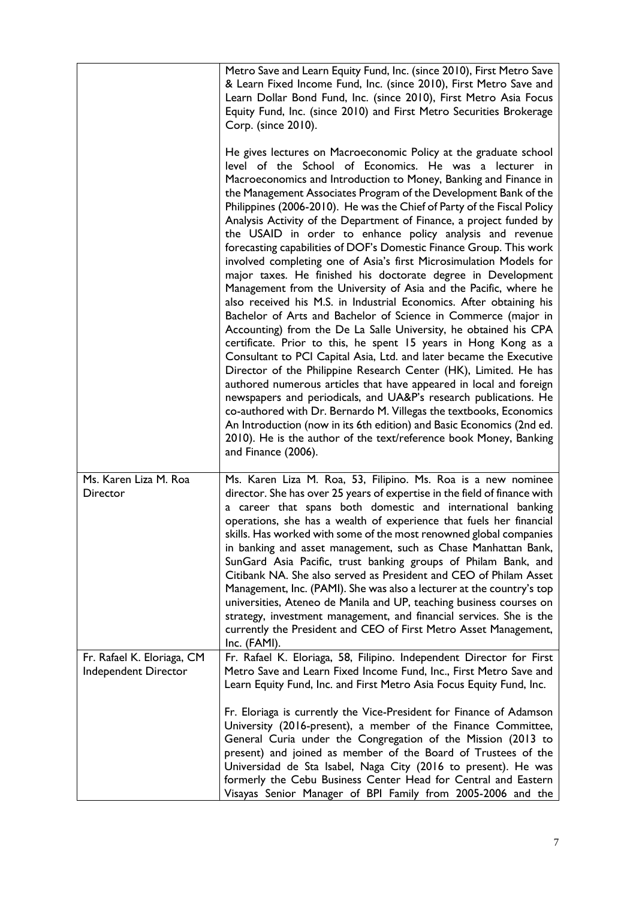|                                                    | Metro Save and Learn Equity Fund, Inc. (since 2010), First Metro Save<br>& Learn Fixed Income Fund, Inc. (since 2010), First Metro Save and<br>Learn Dollar Bond Fund, Inc. (since 2010), First Metro Asia Focus<br>Equity Fund, Inc. (since 2010) and First Metro Securities Brokerage<br>Corp. (since 2010).                                                                                                                                                                                                                                                                                                                                                                                                                                                                                                                                                                                                                                                                                                                                                                                                                                                                                                                                                                                                                                                                                                                                                                                                                                                                     |
|----------------------------------------------------|------------------------------------------------------------------------------------------------------------------------------------------------------------------------------------------------------------------------------------------------------------------------------------------------------------------------------------------------------------------------------------------------------------------------------------------------------------------------------------------------------------------------------------------------------------------------------------------------------------------------------------------------------------------------------------------------------------------------------------------------------------------------------------------------------------------------------------------------------------------------------------------------------------------------------------------------------------------------------------------------------------------------------------------------------------------------------------------------------------------------------------------------------------------------------------------------------------------------------------------------------------------------------------------------------------------------------------------------------------------------------------------------------------------------------------------------------------------------------------------------------------------------------------------------------------------------------------|
|                                                    | He gives lectures on Macroeconomic Policy at the graduate school<br>level of the School of Economics. He was a lecturer in<br>Macroeconomics and Introduction to Money, Banking and Finance in<br>the Management Associates Program of the Development Bank of the<br>Philippines (2006-2010). He was the Chief of Party of the Fiscal Policy<br>Analysis Activity of the Department of Finance, a project funded by<br>the USAID in order to enhance policy analysis and revenue<br>forecasting capabilities of DOF's Domestic Finance Group. This work<br>involved completing one of Asia's first Microsimulation Models for<br>major taxes. He finished his doctorate degree in Development<br>Management from the University of Asia and the Pacific, where he<br>also received his M.S. in Industrial Economics. After obtaining his<br>Bachelor of Arts and Bachelor of Science in Commerce (major in<br>Accounting) from the De La Salle University, he obtained his CPA<br>certificate. Prior to this, he spent 15 years in Hong Kong as a<br>Consultant to PCI Capital Asia, Ltd. and later became the Executive<br>Director of the Philippine Research Center (HK), Limited. He has<br>authored numerous articles that have appeared in local and foreign<br>newspapers and periodicals, and UA&P's research publications. He<br>co-authored with Dr. Bernardo M. Villegas the textbooks, Economics<br>An Introduction (now in its 6th edition) and Basic Economics (2nd ed.<br>2010). He is the author of the text/reference book Money, Banking<br>and Finance (2006). |
| Ms. Karen Liza M. Roa<br>Director                  | Ms. Karen Liza M. Roa, 53, Filipino. Ms. Roa is a new nominee<br>director. She has over 25 years of expertise in the field of finance with<br>a career that spans both domestic and international banking<br>operations, she has a wealth of experience that fuels her financial<br>skills. Has worked with some of the most renowned global companies<br>in banking and asset management, such as Chase Manhattan Bank,<br>SunGard Asia Pacific, trust banking groups of Philam Bank, and<br>Citibank NA. She also served as President and CEO of Philam Asset<br>Management, Inc. (PAMI). She was also a lecturer at the country's top<br>universities, Ateneo de Manila and UP, teaching business courses on<br>strategy, investment management, and financial services. She is the<br>currently the President and CEO of First Metro Asset Management,<br>Inc. (FAMI).                                                                                                                                                                                                                                                                                                                                                                                                                                                                                                                                                                                                                                                                                                         |
| Fr. Rafael K. Eloriaga, CM<br>Independent Director | Fr. Rafael K. Eloriaga, 58, Filipino. Independent Director for First<br>Metro Save and Learn Fixed Income Fund, Inc., First Metro Save and<br>Learn Equity Fund, Inc. and First Metro Asia Focus Equity Fund, Inc.<br>Fr. Eloriaga is currently the Vice-President for Finance of Adamson<br>University (2016-present), a member of the Finance Committee,                                                                                                                                                                                                                                                                                                                                                                                                                                                                                                                                                                                                                                                                                                                                                                                                                                                                                                                                                                                                                                                                                                                                                                                                                         |
|                                                    | General Curia under the Congregation of the Mission (2013 to<br>present) and joined as member of the Board of Trustees of the<br>Universidad de Sta Isabel, Naga City (2016 to present). He was<br>formerly the Cebu Business Center Head for Central and Eastern<br>Visayas Senior Manager of BPI Family from 2005-2006 and the                                                                                                                                                                                                                                                                                                                                                                                                                                                                                                                                                                                                                                                                                                                                                                                                                                                                                                                                                                                                                                                                                                                                                                                                                                                   |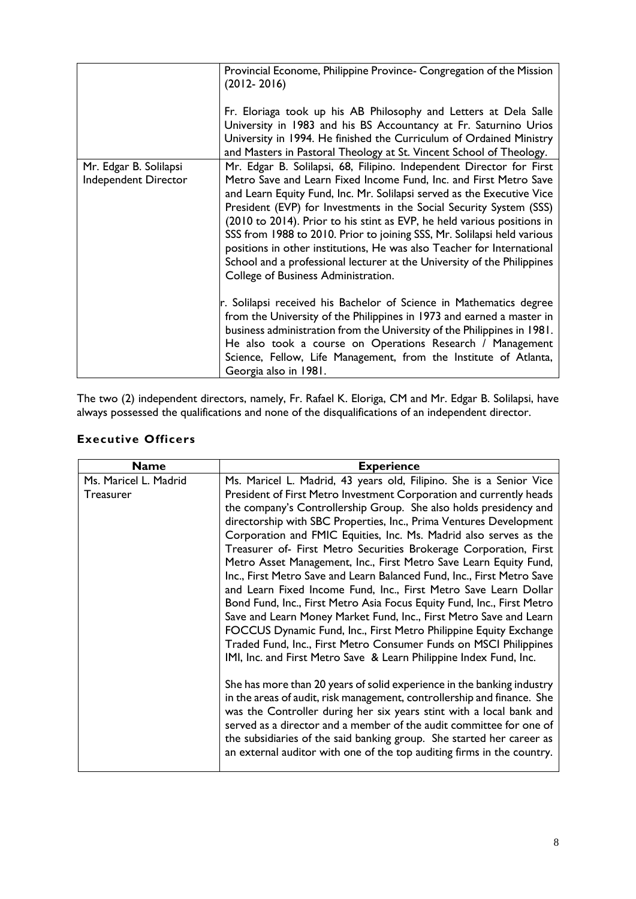|                                                | Provincial Econome, Philippine Province- Congregation of the Mission<br>$(2012 - 2016)$<br>Fr. Eloriaga took up his AB Philosophy and Letters at Dela Salle<br>University in 1983 and his BS Accountancy at Fr. Saturnino Urios<br>University in 1994. He finished the Curriculum of Ordained Ministry<br>and Masters in Pastoral Theology at St. Vincent School of Theology.                                                                                                                                                                                                                                                                |
|------------------------------------------------|----------------------------------------------------------------------------------------------------------------------------------------------------------------------------------------------------------------------------------------------------------------------------------------------------------------------------------------------------------------------------------------------------------------------------------------------------------------------------------------------------------------------------------------------------------------------------------------------------------------------------------------------|
| Mr. Edgar B. Solilapsi<br>Independent Director | Mr. Edgar B. Solilapsi, 68, Filipino. Independent Director for First<br>Metro Save and Learn Fixed Income Fund, Inc. and First Metro Save<br>and Learn Equity Fund, Inc. Mr. Solilapsi served as the Executive Vice<br>President (EVP) for Investments in the Social Security System (SSS)<br>(2010 to 2014). Prior to his stint as EVP, he held various positions in<br>SSS from 1988 to 2010. Prior to joining SSS, Mr. Solilapsi held various<br>positions in other institutions, He was also Teacher for International<br>School and a professional lecturer at the University of the Philippines<br>College of Business Administration. |
|                                                | r. Solilapsi received his Bachelor of Science in Mathematics degree<br>from the University of the Philippines in 1973 and earned a master in<br>business administration from the University of the Philippines in 1981.<br>He also took a course on Operations Research / Management<br>Science, Fellow, Life Management, from the Institute of Atlanta,<br>Georgia also in 1981.                                                                                                                                                                                                                                                            |

The two (2) independent directors, namely, Fr. Rafael K. Eloriga, CM and Mr. Edgar B. Solilapsi, have always possessed the qualifications and none of the disqualifications of an independent director.

## **Executive Officers**

| <b>Name</b>           | <b>Experience</b>                                                                                                                                                                                                                                                                                                                                                                                                                                                                                                                                                               |
|-----------------------|---------------------------------------------------------------------------------------------------------------------------------------------------------------------------------------------------------------------------------------------------------------------------------------------------------------------------------------------------------------------------------------------------------------------------------------------------------------------------------------------------------------------------------------------------------------------------------|
| Ms. Maricel L. Madrid | Ms. Maricel L. Madrid, 43 years old, Filipino. She is a Senior Vice                                                                                                                                                                                                                                                                                                                                                                                                                                                                                                             |
| Treasurer             | President of First Metro Investment Corporation and currently heads                                                                                                                                                                                                                                                                                                                                                                                                                                                                                                             |
|                       | the company's Controllership Group. She also holds presidency and                                                                                                                                                                                                                                                                                                                                                                                                                                                                                                               |
|                       | directorship with SBC Properties, Inc., Prima Ventures Development                                                                                                                                                                                                                                                                                                                                                                                                                                                                                                              |
|                       | Corporation and FMIC Equities, Inc. Ms. Madrid also serves as the                                                                                                                                                                                                                                                                                                                                                                                                                                                                                                               |
|                       | Treasurer of- First Metro Securities Brokerage Corporation, First                                                                                                                                                                                                                                                                                                                                                                                                                                                                                                               |
|                       | Metro Asset Management, Inc., First Metro Save Learn Equity Fund,<br>Inc., First Metro Save and Learn Balanced Fund, Inc., First Metro Save<br>and Learn Fixed Income Fund, Inc., First Metro Save Learn Dollar<br>Bond Fund, Inc., First Metro Asia Focus Equity Fund, Inc., First Metro<br>Save and Learn Money Market Fund, Inc., First Metro Save and Learn<br>FOCCUS Dynamic Fund, Inc., First Metro Philippine Equity Exchange<br>Traded Fund, Inc., First Metro Consumer Funds on MSCI Philippines<br>IMI, Inc. and First Metro Save & Learn Philippine Index Fund, Inc. |
|                       | She has more than 20 years of solid experience in the banking industry<br>in the areas of audit, risk management, controllership and finance. She<br>was the Controller during her six years stint with a local bank and<br>served as a director and a member of the audit committee for one of<br>the subsidiaries of the said banking group. She started her career as<br>an external auditor with one of the top auditing firms in the country.                                                                                                                              |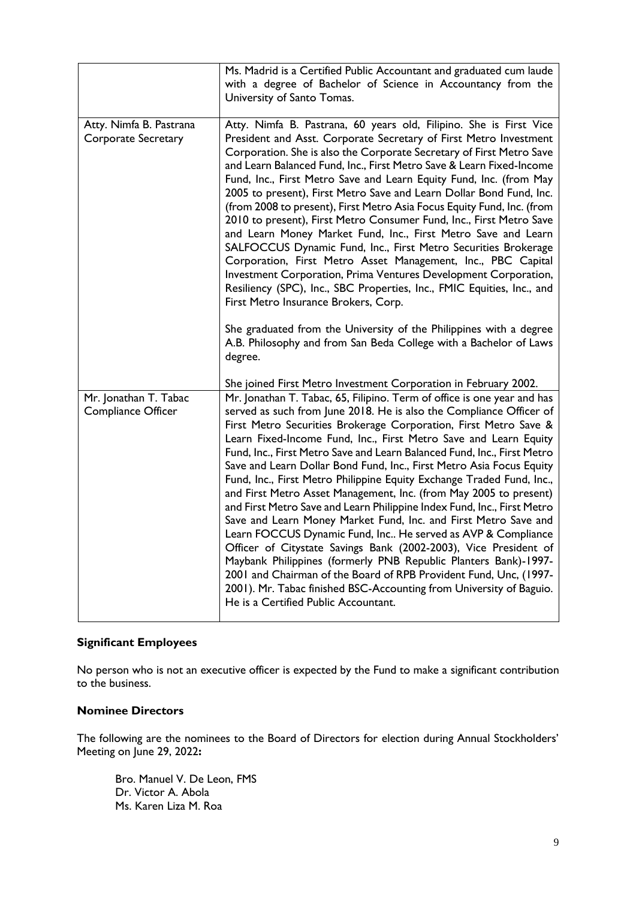|                                                    | Ms. Madrid is a Certified Public Accountant and graduated cum laude<br>with a degree of Bachelor of Science in Accountancy from the<br>University of Santo Tomas.                                                                                                                                                                                                                                                                                                                                                                                                                                                                                                                                                                                                                                                                                                                                                                                                                                                                                                                                                                                                                                   |
|----------------------------------------------------|-----------------------------------------------------------------------------------------------------------------------------------------------------------------------------------------------------------------------------------------------------------------------------------------------------------------------------------------------------------------------------------------------------------------------------------------------------------------------------------------------------------------------------------------------------------------------------------------------------------------------------------------------------------------------------------------------------------------------------------------------------------------------------------------------------------------------------------------------------------------------------------------------------------------------------------------------------------------------------------------------------------------------------------------------------------------------------------------------------------------------------------------------------------------------------------------------------|
| Atty. Nimfa B. Pastrana<br>Corporate Secretary     | Atty. Nimfa B. Pastrana, 60 years old, Filipino. She is First Vice<br>President and Asst. Corporate Secretary of First Metro Investment<br>Corporation. She is also the Corporate Secretary of First Metro Save<br>and Learn Balanced Fund, Inc., First Metro Save & Learn Fixed-Income<br>Fund, Inc., First Metro Save and Learn Equity Fund, Inc. (from May<br>2005 to present), First Metro Save and Learn Dollar Bond Fund, Inc.<br>(from 2008 to present), First Metro Asia Focus Equity Fund, Inc. (from<br>2010 to present), First Metro Consumer Fund, Inc., First Metro Save<br>and Learn Money Market Fund, Inc., First Metro Save and Learn<br>SALFOCCUS Dynamic Fund, Inc., First Metro Securities Brokerage<br>Corporation, First Metro Asset Management, Inc., PBC Capital<br>Investment Corporation, Prima Ventures Development Corporation,<br>Resiliency (SPC), Inc., SBC Properties, Inc., FMIC Equities, Inc., and<br>First Metro Insurance Brokers, Corp.<br>She graduated from the University of the Philippines with a degree<br>A.B. Philosophy and from San Beda College with a Bachelor of Laws                                                                            |
|                                                    | degree.                                                                                                                                                                                                                                                                                                                                                                                                                                                                                                                                                                                                                                                                                                                                                                                                                                                                                                                                                                                                                                                                                                                                                                                             |
| Mr. Jonathan T. Tabac<br><b>Compliance Officer</b> | She joined First Metro Investment Corporation in February 2002.<br>Mr. Jonathan T. Tabac, 65, Filipino. Term of office is one year and has<br>served as such from June 2018. He is also the Compliance Officer of<br>First Metro Securities Brokerage Corporation, First Metro Save &<br>Learn Fixed-Income Fund, Inc., First Metro Save and Learn Equity<br>Fund, Inc., First Metro Save and Learn Balanced Fund, Inc., First Metro<br>Save and Learn Dollar Bond Fund, Inc., First Metro Asia Focus Equity<br>Fund, Inc., First Metro Philippine Equity Exchange Traded Fund, Inc.,<br>and First Metro Asset Management, Inc. (from May 2005 to present)<br>and First Metro Save and Learn Philippine Index Fund, Inc., First Metro<br>Save and Learn Money Market Fund, Inc. and First Metro Save and<br>Learn FOCCUS Dynamic Fund, Inc He served as AVP & Compliance<br>Officer of Citystate Savings Bank (2002-2003), Vice President of<br>Maybank Philippines (formerly PNB Republic Planters Bank)-1997-<br>2001 and Chairman of the Board of RPB Provident Fund, Unc, (1997-<br>2001). Mr. Tabac finished BSC-Accounting from University of Baguio.<br>He is a Certified Public Accountant. |

## **Significant Employees**

No person who is not an executive officer is expected by the Fund to make a significant contribution to the business.

## **Nominee Directors**

The following are the nominees to the Board of Directors for election during Annual Stockholders' Meeting on June 29, 2022**:** 

Bro. Manuel V. De Leon, FMS Dr. Victor A. Abola Ms. Karen Liza M. Roa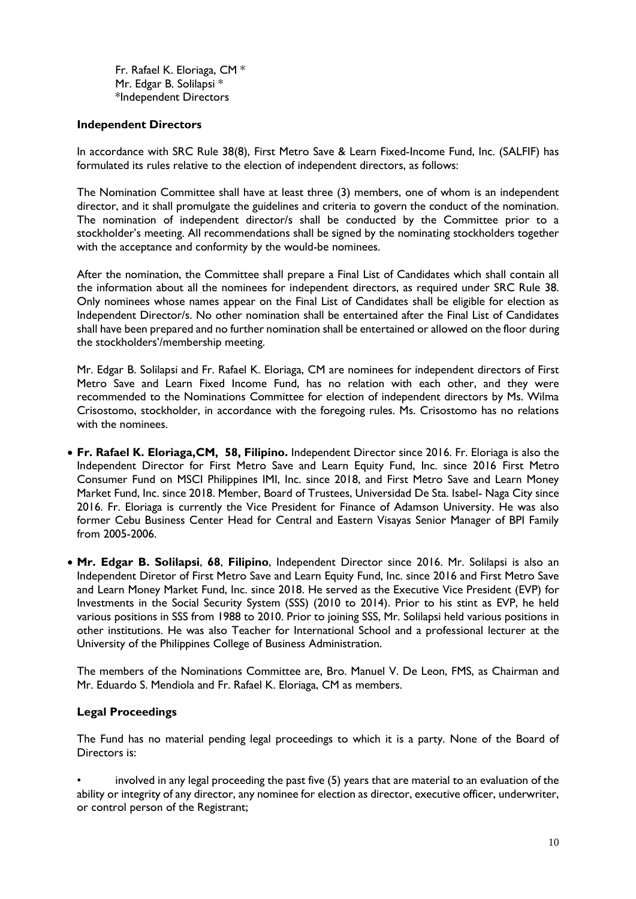Fr. Rafael K. Eloriaga, CM \* Mr. Edgar B. Solilapsi \* \*Independent Directors

## **Independent Directors**

In accordance with SRC Rule 38(8), First Metro Save & Learn Fixed-Income Fund, Inc. (SALFIF) has formulated its rules relative to the election of independent directors, as follows:

The Nomination Committee shall have at least three (3) members, one of whom is an independent director, and it shall promulgate the guidelines and criteria to govern the conduct of the nomination. The nomination of independent director/s shall be conducted by the Committee prior to a stockholder's meeting. All recommendations shall be signed by the nominating stockholders together with the acceptance and conformity by the would-be nominees.

After the nomination, the Committee shall prepare a Final List of Candidates which shall contain all the information about all the nominees for independent directors, as required under SRC Rule 38. Only nominees whose names appear on the Final List of Candidates shall be eligible for election as Independent Director/s. No other nomination shall be entertained after the Final List of Candidates shall have been prepared and no further nomination shall be entertained or allowed on the floor during the stockholders'/membership meeting.

Mr. Edgar B. Solilapsi and Fr. Rafael K. Eloriaga, CM are nominees for independent directors of First Metro Save and Learn Fixed Income Fund, has no relation with each other, and they were recommended to the Nominations Committee for election of independent directors by Ms. Wilma Crisostomo, stockholder, in accordance with the foregoing rules. Ms. Crisostomo has no relations with the nominees.

- **Fr. Rafael K. Eloriaga,CM, 58, Filipino.** Independent Director since 2016. Fr. Eloriaga is also the Independent Director for First Metro Save and Learn Equity Fund, Inc. since 2016 First Metro Consumer Fund on MSCI Philippines IMI, Inc. since 2018, and First Metro Save and Learn Money Market Fund, Inc. since 2018. Member, Board of Trustees, Universidad De Sta. Isabel- Naga City since 2016. Fr. Eloriaga is currently the Vice President for Finance of Adamson University. He was also former Cebu Business Center Head for Central and Eastern Visayas Senior Manager of BPI Family from 2005-2006.
- **Mr. Edgar B. Solilapsi**, **68**, **Filipino**, Independent Director since 2016. Mr. Solilapsi is also an Independent Diretor of First Metro Save and Learn Equity Fund, Inc. since 2016 and First Metro Save and Learn Money Market Fund, Inc. since 2018. He served as the Executive Vice President (EVP) for Investments in the Social Security System (SSS) (2010 to 2014). Prior to his stint as EVP, he held various positions in SSS from 1988 to 2010. Prior to joining SSS, Mr. Solilapsi held various positions in other institutions. He was also Teacher for International School and a professional lecturer at the University of the Philippines College of Business Administration.

The members of the Nominations Committee are, Bro. Manuel V. De Leon, FMS, as Chairman and Mr. Eduardo S. Mendiola and Fr. Rafael K. Eloriaga, CM as members.

## **Legal Proceedings**

The Fund has no material pending legal proceedings to which it is a party. None of the Board of Directors is:

• involved in any legal proceeding the past five (5) years that are material to an evaluation of the ability or integrity of any director, any nominee for election as director, executive officer, underwriter, or control person of the Registrant;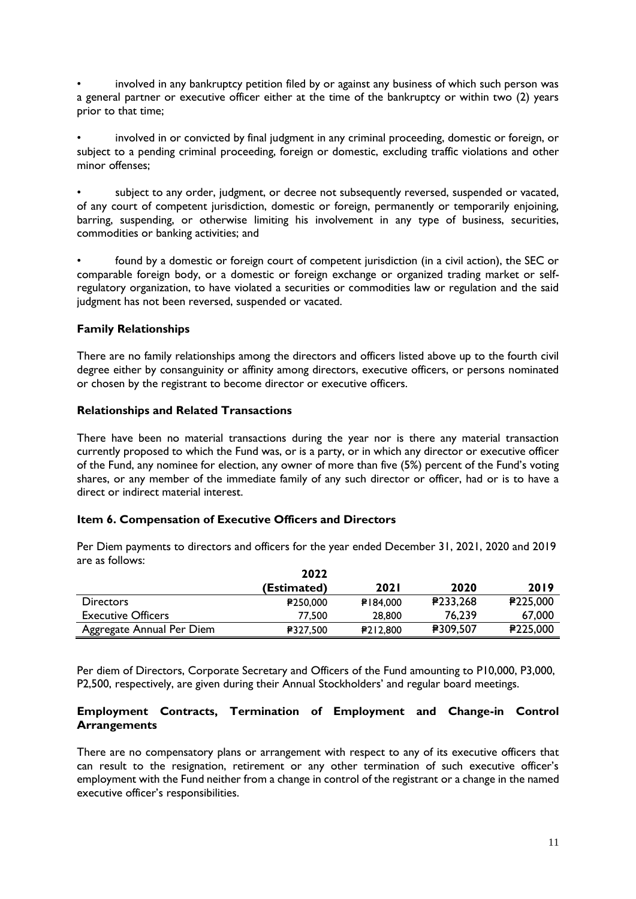• involved in any bankruptcy petition filed by or against any business of which such person was a general partner or executive officer either at the time of the bankruptcy or within two (2) years prior to that time;

• involved in or convicted by final judgment in any criminal proceeding, domestic or foreign, or subject to a pending criminal proceeding, foreign or domestic, excluding traffic violations and other minor offenses;

subject to any order, judgment, or decree not subsequently reversed, suspended or vacated, of any court of competent jurisdiction, domestic or foreign, permanently or temporarily enjoining, barring, suspending, or otherwise limiting his involvement in any type of business, securities, commodities or banking activities; and

• found by a domestic or foreign court of competent jurisdiction (in a civil action), the SEC or comparable foreign body, or a domestic or foreign exchange or organized trading market or selfregulatory organization, to have violated a securities or commodities law or regulation and the said judgment has not been reversed, suspended or vacated.

## **Family Relationships**

There are no family relationships among the directors and officers listed above up to the fourth civil degree either by consanguinity or affinity among directors, executive officers, or persons nominated or chosen by the registrant to become director or executive officers.

## **Relationships and Related Transactions**

There have been no material transactions during the year nor is there any material transaction currently proposed to which the Fund was, or is a party, or in which any director or executive officer of the Fund, any nominee for election, any owner of more than five (5%) percent of the Fund's voting shares, or any member of the immediate family of any such director or officer, had or is to have a direct or indirect material interest.

### **Item 6. Compensation of Executive Officers and Directors**

Per Diem payments to directors and officers for the year ended December 31, 2021, 2020 and 2019 are as follows:

|                           | 2022            |             |          |          |
|---------------------------|-----------------|-------------|----------|----------|
|                           | (Estimated)     | <b>2021</b> | 2020     | 2019     |
| <b>Directors</b>          | <b>₽250,000</b> | ₽184,000    | ₽233,268 | P225,000 |
| <b>Executive Officers</b> | 77,500          | 28,800      | 76,239   | 67,000   |
| Aggregate Annual Per Diem | <b>₽327.500</b> | P212,800    | ₽309,507 | P225,000 |

Per diem of Directors, Corporate Secretary and Officers of the Fund amounting to P10,000, P3,000, P2,500, respectively, are given during their Annual Stockholders' and regular board meetings.

## **Employment Contracts, Termination of Employment and Change-in Control Arrangements**

There are no compensatory plans or arrangement with respect to any of its executive officers that can result to the resignation, retirement or any other termination of such executive officer's employment with the Fund neither from a change in control of the registrant or a change in the named executive officer's responsibilities.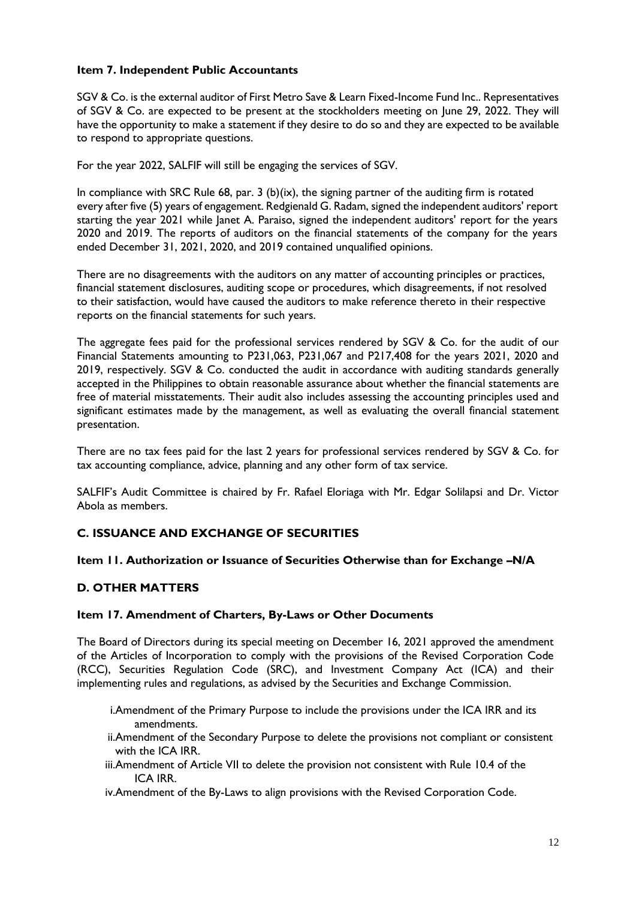## **Item 7. Independent Public Accountants**

SGV & Co. is the external auditor of First Metro Save & Learn Fixed-Income Fund Inc.. Representatives of SGV & Co. are expected to be present at the stockholders meeting on June 29, 2022. They will have the opportunity to make a statement if they desire to do so and they are expected to be available to respond to appropriate questions.

For the year 2022, SALFIF will still be engaging the services of SGV.

In compliance with SRC Rule 68, par. 3 (b)(ix), the signing partner of the auditing firm is rotated every after five (5) years of engagement. Redgienald G. Radam, signed the independent auditors' report starting the year 2021 while Janet A. Paraiso, signed the independent auditors' report for the years 2020 and 2019. The reports of auditors on the financial statements of the company for the years ended December 31, 2021, 2020, and 2019 contained unqualified opinions.

There are no disagreements with the auditors on any matter of accounting principles or practices, financial statement disclosures, auditing scope or procedures, which disagreements, if not resolved to their satisfaction, would have caused the auditors to make reference thereto in their respective reports on the financial statements for such years.

The aggregate fees paid for the professional services rendered by SGV & Co. for the audit of our Financial Statements amounting to P231,063, P231,067 and P217,408 for the years 2021, 2020 and 2019, respectively. SGV & Co. conducted the audit in accordance with auditing standards generally accepted in the Philippines to obtain reasonable assurance about whether the financial statements are free of material misstatements. Their audit also includes assessing the accounting principles used and significant estimates made by the management, as well as evaluating the overall financial statement presentation.

There are no tax fees paid for the last 2 years for professional services rendered by SGV & Co. for tax accounting compliance, advice, planning and any other form of tax service.

SALFIF's Audit Committee is chaired by Fr. Rafael Eloriaga with Mr. Edgar Solilapsi and Dr. Victor Abola as members.

## **C. ISSUANCE AND EXCHANGE OF SECURITIES**

### **Item 11. Authorization or Issuance of Securities Otherwise than for Exchange –N/A**

## **D. OTHER MATTERS**

### **Item 17. Amendment of Charters, By-Laws or Other Documents**

The Board of Directors during its special meeting on December 16, 2021 approved the amendment of the Articles of Incorporation to comply with the provisions of the Revised Corporation Code (RCC), Securities Regulation Code (SRC), and Investment Company Act (ICA) and their implementing rules and regulations, as advised by the Securities and Exchange Commission.

- i.Amendment of the Primary Purpose to include the provisions under the ICA IRR and its amendments.
- ii.Amendment of the Secondary Purpose to delete the provisions not compliant or consistent with the ICA IRR.
- iii.Amendment of Article VII to delete the provision not consistent with Rule 10.4 of the ICA IRR.
- iv.Amendment of the By-Laws to align provisions with the Revised Corporation Code.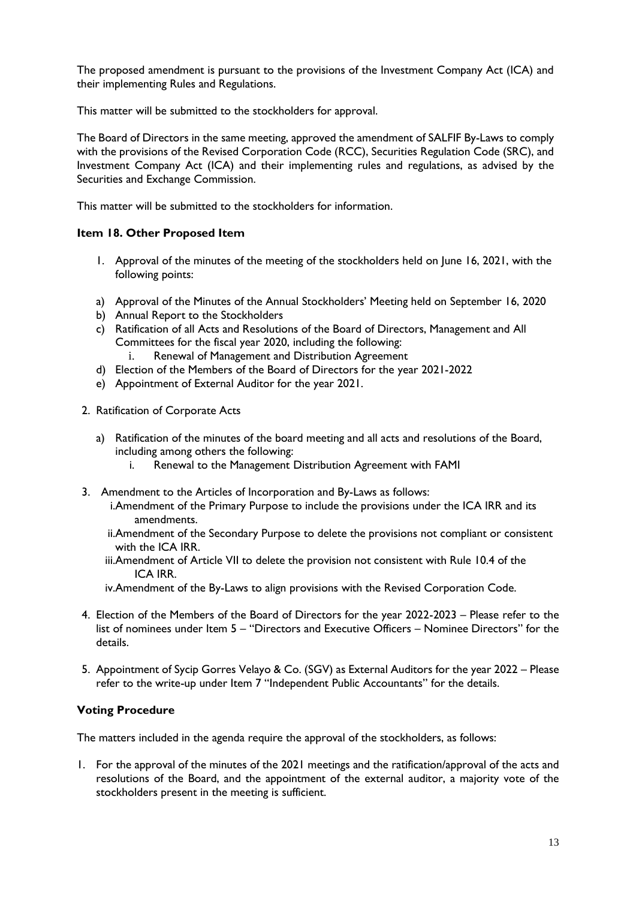The proposed amendment is pursuant to the provisions of the Investment Company Act (ICA) and their implementing Rules and Regulations.

This matter will be submitted to the stockholders for approval.

The Board of Directors in the same meeting, approved the amendment of SALFIF By-Laws to comply with the provisions of the Revised Corporation Code (RCC), Securities Regulation Code (SRC), and Investment Company Act (ICA) and their implementing rules and regulations, as advised by the Securities and Exchange Commission.

This matter will be submitted to the stockholders for information.

## **Item 18. Other Proposed Item**

- 1. Approval of the minutes of the meeting of the stockholders held on June 16, 2021, with the following points:
- a) Approval of the Minutes of the Annual Stockholders' Meeting held on September 16, 2020
- b) Annual Report to the Stockholders
- c) Ratification of all Acts and Resolutions of the Board of Directors, Management and All Committees for the fiscal year 2020, including the following:
	- i. Renewal of Management and Distribution Agreement
- d) Election of the Members of the Board of Directors for the year 2021-2022
- e) Appointment of External Auditor for the year 2021.
- 2. Ratification of Corporate Acts
	- a) Ratification of the minutes of the board meeting and all acts and resolutions of the Board, including among others the following:
		- i. Renewal to the Management Distribution Agreement with FAMI
- 3. Amendment to the Articles of Incorporation and By-Laws as follows:
	- i.Amendment of the Primary Purpose to include the provisions under the ICA IRR and its amendments.
	- ii.Amendment of the Secondary Purpose to delete the provisions not compliant or consistent with the ICA IRR.
	- iii.Amendment of Article VII to delete the provision not consistent with Rule 10.4 of the ICA IRR.
	- iv.Amendment of the By-Laws to align provisions with the Revised Corporation Code.
- 4. Election of the Members of the Board of Directors for the year 2022-2023 Please refer to the list of nominees under Item 5 – "Directors and Executive Officers – Nominee Directors" for the details.
- 5. Appointment of Sycip Gorres Velayo & Co. (SGV) as External Auditors for the year 2022 Please refer to the write-up under Item 7 "Independent Public Accountants" for the details.

## **Voting Procedure**

The matters included in the agenda require the approval of the stockholders, as follows:

1. For the approval of the minutes of the 2021 meetings and the ratification/approval of the acts and resolutions of the Board, and the appointment of the external auditor, a majority vote of the stockholders present in the meeting is sufficient.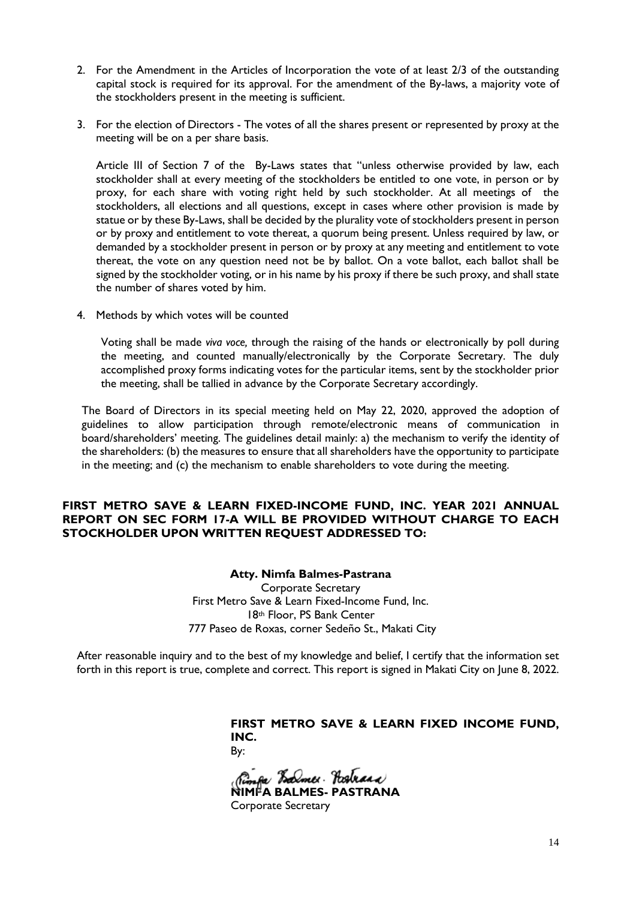- 2. For the Amendment in the Articles of Incorporation the vote of at least 2/3 of the outstanding capital stock is required for its approval. For the amendment of the By-laws, a majority vote of the stockholders present in the meeting is sufficient.
- 3. For the election of Directors The votes of all the shares present or represented by proxy at the meeting will be on a per share basis.

Article III of Section 7 of the By-Laws states that "unless otherwise provided by law, each stockholder shall at every meeting of the stockholders be entitled to one vote, in person or by proxy, for each share with voting right held by such stockholder. At all meetings of the stockholders, all elections and all questions, except in cases where other provision is made by statue or by these By-Laws, shall be decided by the plurality vote of stockholders present in person or by proxy and entitlement to vote thereat, a quorum being present. Unless required by law, or demanded by a stockholder present in person or by proxy at any meeting and entitlement to vote thereat, the vote on any question need not be by ballot. On a vote ballot, each ballot shall be signed by the stockholder voting, or in his name by his proxy if there be such proxy, and shall state the number of shares voted by him.

4. Methods by which votes will be counted

Voting shall be made *viva voce,* through the raising of the hands or electronically by poll during the meeting, and counted manually/electronically by the Corporate Secretary. The duly accomplished proxy forms indicating votes for the particular items, sent by the stockholder prior the meeting, shall be tallied in advance by the Corporate Secretary accordingly.

The Board of Directors in its special meeting held on May 22, 2020, approved the adoption of guidelines to allow participation through remote/electronic means of communication in board/shareholders' meeting. The guidelines detail mainly: a) the mechanism to verify the identity of the shareholders: (b) the measures to ensure that all shareholders have the opportunity to participate in the meeting; and (c) the mechanism to enable shareholders to vote during the meeting.

## **FIRST METRO SAVE & LEARN FIXED-INCOME FUND, INC. YEAR 2021 ANNUAL REPORT ON SEC FORM 17-A WILL BE PROVIDED WITHOUT CHARGE TO EACH STOCKHOLDER UPON WRITTEN REQUEST ADDRESSED TO:**

**Atty. Nimfa Balmes-Pastrana** Corporate Secretary First Metro Save & Learn Fixed-Income Fund, Inc. 18th Floor, PS Bank Center 777 Paseo de Roxas, corner Sedeño St., Makati City

After reasonable inquiry and to the best of my knowledge and belief, I certify that the information set forth in this report is true, complete and correct. This report is signed in Makati City on June 8, 2022.

> **FIRST METRO SAVE & LEARN FIXED INCOME FUND, INC.**  By:

**NIMFA BALMES- PASTRANA** 

Corporate Secretary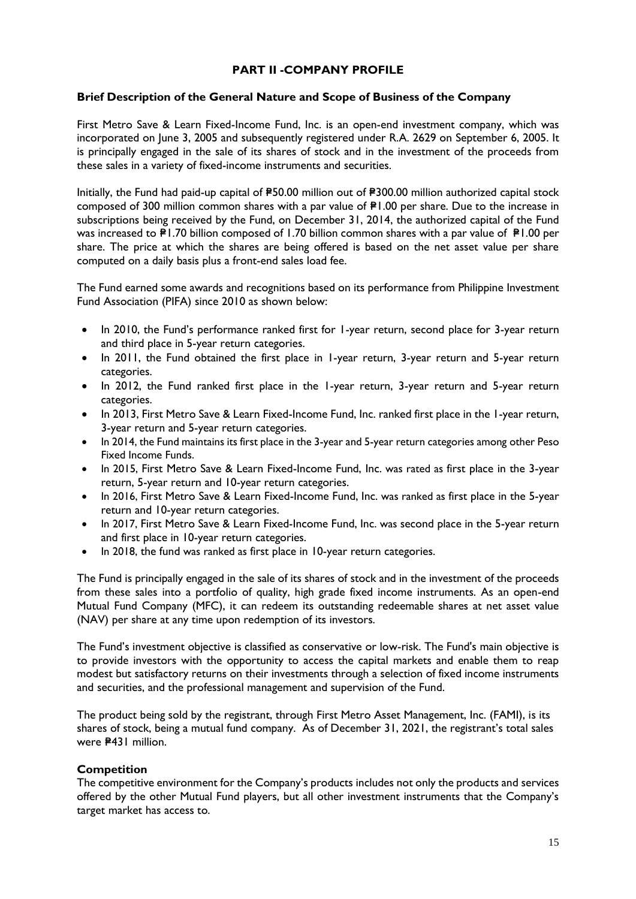## **PART II -COMPANY PROFILE**

## **Brief Description of the General Nature and Scope of Business of the Company**

First Metro Save & Learn Fixed-Income Fund, Inc. is an open-end investment company, which was incorporated on June 3, 2005 and subsequently registered under R.A. 2629 on September 6, 2005. It is principally engaged in the sale of its shares of stock and in the investment of the proceeds from these sales in a variety of fixed-income instruments and securities.

Initially, the Fund had paid-up capital of P50.00 million out of P300.00 million authorized capital stock composed of 300 million common shares with a par value of  $\mathbb{P}1.00$  per share. Due to the increase in subscriptions being received by the Fund, on December 31, 2014, the authorized capital of the Fund was increased to  $\overline{P}1.70$  billion composed of 1.70 billion common shares with a par value of  $\overline{P}1.00$  per share. The price at which the shares are being offered is based on the net asset value per share computed on a daily basis plus a front-end sales load fee.

The Fund earned some awards and recognitions based on its performance from Philippine Investment Fund Association (PIFA) since 2010 as shown below:

- In 2010, the Fund's performance ranked first for 1-year return, second place for 3-year return and third place in 5-year return categories.
- In 2011, the Fund obtained the first place in 1-year return, 3-year return and 5-year return categories.
- In 2012, the Fund ranked first place in the 1-year return, 3-year return and 5-year return categories.
- In 2013, First Metro Save & Learn Fixed-Income Fund, Inc. ranked first place in the 1-year return, 3-year return and 5-year return categories.
- In 2014, the Fund maintains its first place in the 3-year and 5-year return categories among other Peso Fixed Income Funds.
- In 2015, First Metro Save & Learn Fixed-Income Fund, Inc. was rated as first place in the 3-year return, 5-year return and 10-year return categories.
- In 2016, First Metro Save & Learn Fixed-Income Fund, Inc. was ranked as first place in the 5-year return and 10-year return categories.
- In 2017, First Metro Save & Learn Fixed-Income Fund, Inc. was second place in the 5-year return and first place in 10-year return categories.
- In 2018, the fund was ranked as first place in 10-year return categories.

The Fund is principally engaged in the sale of its shares of stock and in the investment of the proceeds from these sales into a portfolio of quality, high grade fixed income instruments. As an open-end Mutual Fund Company (MFC), it can redeem its outstanding redeemable shares at net asset value (NAV) per share at any time upon redemption of its investors.

The Fund's investment objective is classified as conservative or low-risk. The Fund's main objective is to provide investors with the opportunity to access the capital markets and enable them to reap modest but satisfactory returns on their investments through a selection of fixed income instruments and securities, and the professional management and supervision of the Fund.

The product being sold by the registrant, through First Metro Asset Management, Inc. (FAMI), is its shares of stock, being a mutual fund company. As of December 31, 2021, the registrant's total sales were **P431** million.

### **Competition**

The competitive environment for the Company's products includes not only the products and services offered by the other Mutual Fund players, but all other investment instruments that the Company's target market has access to.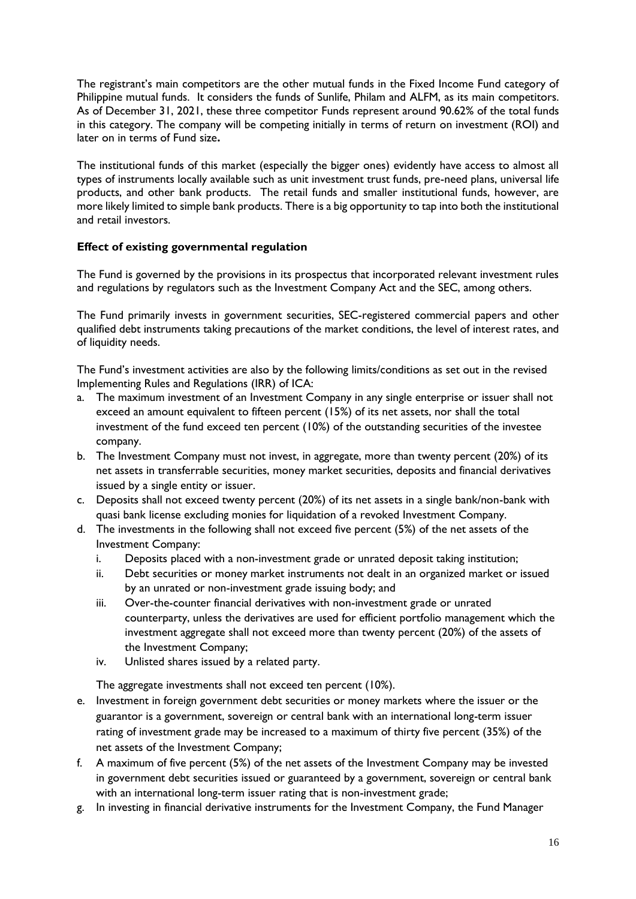The registrant's main competitors are the other mutual funds in the Fixed Income Fund category of Philippine mutual funds. It considers the funds of Sunlife, Philam and ALFM, as its main competitors. As of December 31, 2021, these three competitor Funds represent around 90.62% of the total funds in this category. The company will be competing initially in terms of return on investment (ROI) and later on in terms of Fund size**.** 

The institutional funds of this market (especially the bigger ones) evidently have access to almost all types of instruments locally available such as unit investment trust funds, pre-need plans, universal life products, and other bank products. The retail funds and smaller institutional funds, however, are more likely limited to simple bank products. There is a big opportunity to tap into both the institutional and retail investors.

## **Effect of existing governmental regulation**

The Fund is governed by the provisions in its prospectus that incorporated relevant investment rules and regulations by regulators such as the Investment Company Act and the SEC, among others.

The Fund primarily invests in government securities, SEC-registered commercial papers and other qualified debt instruments taking precautions of the market conditions, the level of interest rates, and of liquidity needs.

The Fund's investment activities are also by the following limits/conditions as set out in the revised Implementing Rules and Regulations (IRR) of ICA:

- a. The maximum investment of an Investment Company in any single enterprise or issuer shall not exceed an amount equivalent to fifteen percent (15%) of its net assets, nor shall the total investment of the fund exceed ten percent (10%) of the outstanding securities of the investee company.
- b. The Investment Company must not invest, in aggregate, more than twenty percent (20%) of its net assets in transferrable securities, money market securities, deposits and financial derivatives issued by a single entity or issuer.
- c. Deposits shall not exceed twenty percent (20%) of its net assets in a single bank/non-bank with quasi bank license excluding monies for liquidation of a revoked Investment Company.
- d. The investments in the following shall not exceed five percent (5%) of the net assets of the Investment Company:
	- i. Deposits placed with a non-investment grade or unrated deposit taking institution;
	- ii. Debt securities or money market instruments not dealt in an organized market or issued by an unrated or non-investment grade issuing body; and
	- iii. Over-the-counter financial derivatives with non-investment grade or unrated counterparty, unless the derivatives are used for efficient portfolio management which the investment aggregate shall not exceed more than twenty percent (20%) of the assets of the Investment Company;
	- iv. Unlisted shares issued by a related party.

The aggregate investments shall not exceed ten percent (10%).

- e. Investment in foreign government debt securities or money markets where the issuer or the guarantor is a government, sovereign or central bank with an international long-term issuer rating of investment grade may be increased to a maximum of thirty five percent (35%) of the net assets of the Investment Company;
- f. A maximum of five percent (5%) of the net assets of the Investment Company may be invested in government debt securities issued or guaranteed by a government, sovereign or central bank with an international long-term issuer rating that is non-investment grade;
- g. In investing in financial derivative instruments for the Investment Company, the Fund Manager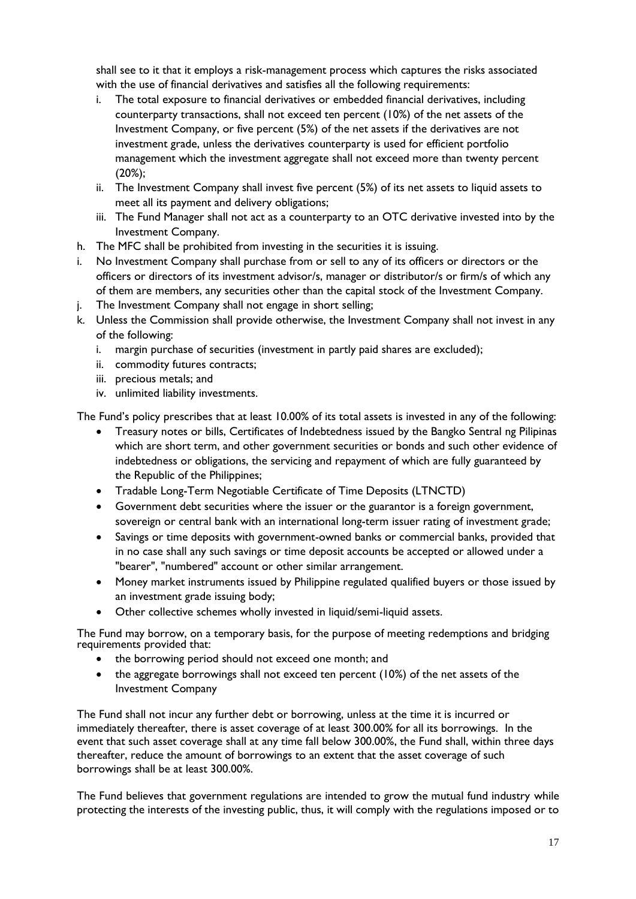shall see to it that it employs a risk-management process which captures the risks associated with the use of financial derivatives and satisfies all the following requirements:

- i. The total exposure to financial derivatives or embedded financial derivatives, including counterparty transactions, shall not exceed ten percent (10%) of the net assets of the Investment Company, or five percent (5%) of the net assets if the derivatives are not investment grade, unless the derivatives counterparty is used for efficient portfolio management which the investment aggregate shall not exceed more than twenty percent (20%);
- ii. The Investment Company shall invest five percent (5%) of its net assets to liquid assets to meet all its payment and delivery obligations;
- iii. The Fund Manager shall not act as a counterparty to an OTC derivative invested into by the Investment Company.
- h. The MFC shall be prohibited from investing in the securities it is issuing.
- i. No Investment Company shall purchase from or sell to any of its officers or directors or the officers or directors of its investment advisor/s, manager or distributor/s or firm/s of which any of them are members, any securities other than the capital stock of the Investment Company.
- j. The Investment Company shall not engage in short selling;
- k. Unless the Commission shall provide otherwise, the Investment Company shall not invest in any of the following:
	- i. margin purchase of securities (investment in partly paid shares are excluded);
	- ii. commodity futures contracts;
	- iii. precious metals; and
	- iv. unlimited liability investments.

The Fund's policy prescribes that at least 10.00% of its total assets is invested in any of the following:

- Treasury notes or bills, Certificates of Indebtedness issued by the Bangko Sentral ng Pilipinas which are short term, and other government securities or bonds and such other evidence of indebtedness or obligations, the servicing and repayment of which are fully guaranteed by the Republic of the Philippines;
- Tradable Long-Term Negotiable Certificate of Time Deposits (LTNCTD)
- Government debt securities where the issuer or the guarantor is a foreign government, sovereign or central bank with an international long-term issuer rating of investment grade;
- Savings or time deposits with government-owned banks or commercial banks, provided that in no case shall any such savings or time deposit accounts be accepted or allowed under a "bearer", "numbered" account or other similar arrangement.
- Money market instruments issued by Philippine regulated qualified buyers or those issued by an investment grade issuing body;
- Other collective schemes wholly invested in liquid/semi-liquid assets.

The Fund may borrow, on a temporary basis, for the purpose of meeting redemptions and bridging requirements provided that:

- the borrowing period should not exceed one month; and
- the aggregate borrowings shall not exceed ten percent (10%) of the net assets of the Investment Company

The Fund shall not incur any further debt or borrowing, unless at the time it is incurred or immediately thereafter, there is asset coverage of at least 300.00% for all its borrowings. In the event that such asset coverage shall at any time fall below 300.00%, the Fund shall, within three days thereafter, reduce the amount of borrowings to an extent that the asset coverage of such borrowings shall be at least 300.00%.

The Fund believes that government regulations are intended to grow the mutual fund industry while protecting the interests of the investing public, thus, it will comply with the regulations imposed or to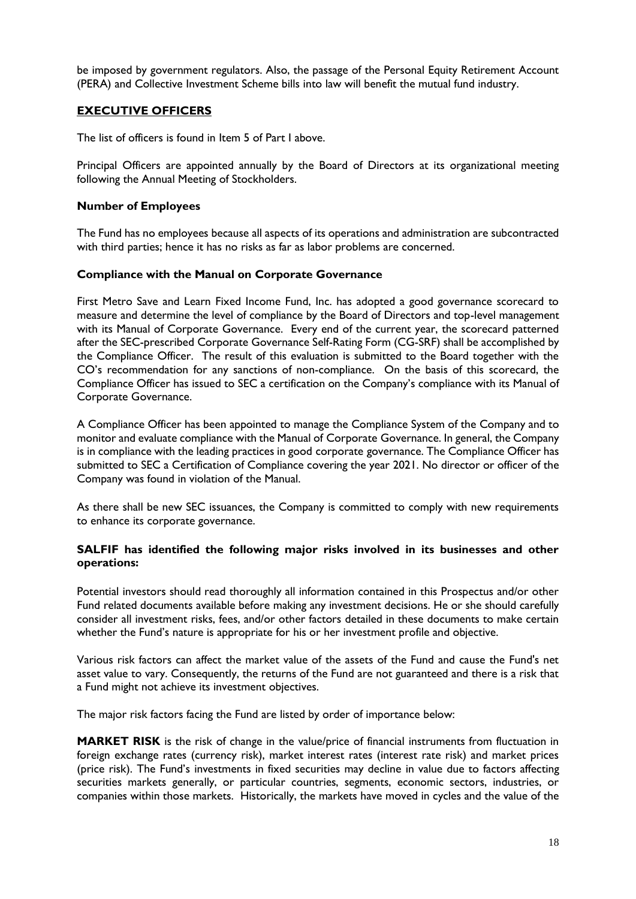be imposed by government regulators. Also, the passage of the Personal Equity Retirement Account (PERA) and Collective Investment Scheme bills into law will benefit the mutual fund industry.

## **EXECUTIVE OFFICERS**

The list of officers is found in Item 5 of Part I above.

Principal Officers are appointed annually by the Board of Directors at its organizational meeting following the Annual Meeting of Stockholders.

### **Number of Employees**

The Fund has no employees because all aspects of its operations and administration are subcontracted with third parties; hence it has no risks as far as labor problems are concerned.

### **Compliance with the Manual on Corporate Governance**

First Metro Save and Learn Fixed Income Fund, Inc. has adopted a good governance scorecard to measure and determine the level of compliance by the Board of Directors and top-level management with its Manual of Corporate Governance. Every end of the current year, the scorecard patterned after the SEC-prescribed Corporate Governance Self-Rating Form (CG-SRF) shall be accomplished by the Compliance Officer. The result of this evaluation is submitted to the Board together with the CO's recommendation for any sanctions of non-compliance. On the basis of this scorecard, the Compliance Officer has issued to SEC a certification on the Company's compliance with its Manual of Corporate Governance.

A Compliance Officer has been appointed to manage the Compliance System of the Company and to monitor and evaluate compliance with the Manual of Corporate Governance. In general, the Company is in compliance with the leading practices in good corporate governance. The Compliance Officer has submitted to SEC a Certification of Compliance covering the year 2021. No director or officer of the Company was found in violation of the Manual.

As there shall be new SEC issuances, the Company is committed to comply with new requirements to enhance its corporate governance.

### **SALFIF has identified the following major risks involved in its businesses and other operations:**

Potential investors should read thoroughly all information contained in this Prospectus and/or other Fund related documents available before making any investment decisions. He or she should carefully consider all investment risks, fees, and/or other factors detailed in these documents to make certain whether the Fund's nature is appropriate for his or her investment profile and objective.

Various risk factors can affect the market value of the assets of the Fund and cause the Fund's net asset value to vary. Consequently, the returns of the Fund are not guaranteed and there is a risk that a Fund might not achieve its investment objectives.

The major risk factors facing the Fund are listed by order of importance below:

**MARKET RISK** is the risk of change in the value/price of financial instruments from fluctuation in foreign exchange rates (currency risk), market interest rates (interest rate risk) and market prices (price risk). The Fund's investments in fixed securities may decline in value due to factors affecting securities markets generally, or particular countries, segments, economic sectors, industries, or companies within those markets. Historically, the markets have moved in cycles and the value of the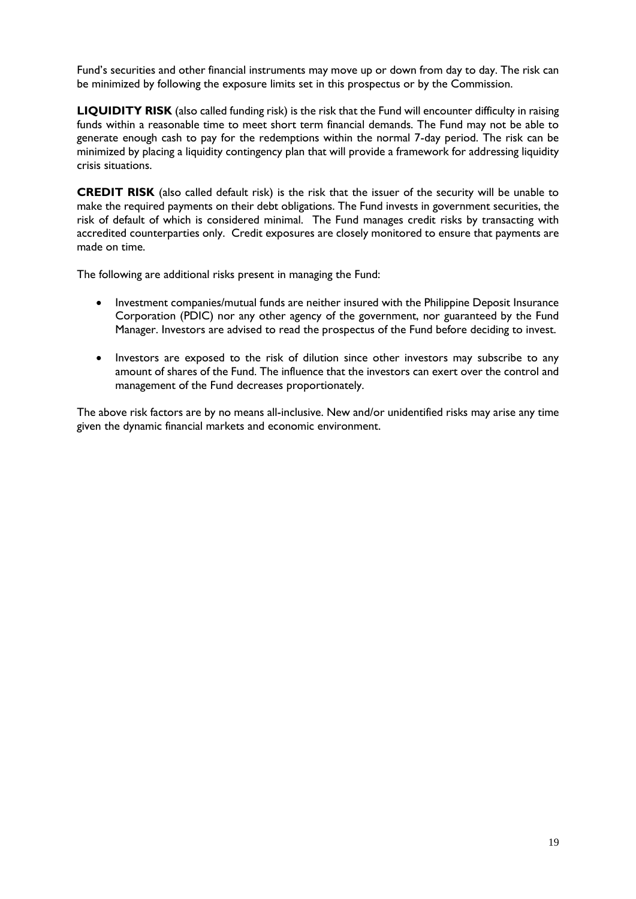Fund's securities and other financial instruments may move up or down from day to day. The risk can be minimized by following the exposure limits set in this prospectus or by the Commission.

**LIQUIDITY RISK** (also called funding risk) is the risk that the Fund will encounter difficulty in raising funds within a reasonable time to meet short term financial demands. The Fund may not be able to generate enough cash to pay for the redemptions within the normal 7-day period. The risk can be minimized by placing a liquidity contingency plan that will provide a framework for addressing liquidity crisis situations.

**CREDIT RISK** (also called default risk) is the risk that the issuer of the security will be unable to make the required payments on their debt obligations. The Fund invests in government securities, the risk of default of which is considered minimal. The Fund manages credit risks by transacting with accredited counterparties only. Credit exposures are closely monitored to ensure that payments are made on time.

The following are additional risks present in managing the Fund:

- Investment companies/mutual funds are neither insured with the Philippine Deposit Insurance Corporation (PDIC) nor any other agency of the government, nor guaranteed by the Fund Manager. Investors are advised to read the prospectus of the Fund before deciding to invest.
- Investors are exposed to the risk of dilution since other investors may subscribe to any amount of shares of the Fund. The influence that the investors can exert over the control and management of the Fund decreases proportionately.

The above risk factors are by no means all-inclusive. New and/or unidentified risks may arise any time given the dynamic financial markets and economic environment.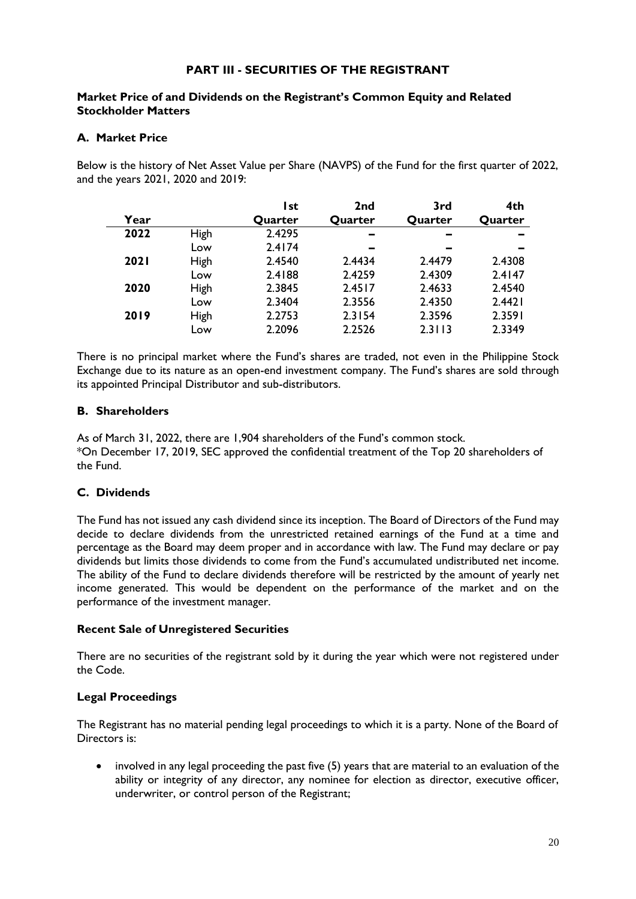## **PART III - SECURITIES OF THE REGISTRANT**

## **Market Price of and Dividends on the Registrant's Common Equity and Related Stockholder Matters**

## **A. Market Price**

Below is the history of Net Asset Value per Share (NAVPS) of the Fund for the first quarter of 2022, and the years 2021, 2020 and 2019:

|             |             | l st    | 2 <sub>nd</sub> | 3rd                      | 4th     |
|-------------|-------------|---------|-----------------|--------------------------|---------|
| Year        |             | Quarter | Quarter         | Quarter                  | Quarter |
| 2022        | High        | 2.4295  |                 | $\overline{\phantom{a}}$ |         |
|             | Low         | 2.4174  |                 | -                        |         |
| <b>2021</b> | High        | 2.4540  | 2.4434          | 2.4479                   | 2.4308  |
|             | Low         | 2.4188  | 2.4259          | 2.4309                   | 2.4147  |
| 2020        | High        | 2.3845  | 2.4517          | 2.4633                   | 2.4540  |
|             | Low         | 2.3404  | 2.3556          | 2.4350                   | 2.4421  |
| 2019        | <b>High</b> | 2.2753  | 2.3154          | 2.3596                   | 2.3591  |
|             | Low         | 2.2096  | 2.2526          | 2.3113                   | 2.3349  |

There is no principal market where the Fund's shares are traded, not even in the Philippine Stock Exchange due to its nature as an open-end investment company. The Fund's shares are sold through its appointed Principal Distributor and sub-distributors.

## **B. Shareholders**

As of March 31, 2022, there are 1,904 shareholders of the Fund's common stock. \*On December 17, 2019, SEC approved the confidential treatment of the Top 20 shareholders of the Fund.

## **C. Dividends**

The Fund has not issued any cash dividend since its inception. The Board of Directors of the Fund may decide to declare dividends from the unrestricted retained earnings of the Fund at a time and percentage as the Board may deem proper and in accordance with law. The Fund may declare or pay dividends but limits those dividends to come from the Fund's accumulated undistributed net income. The ability of the Fund to declare dividends therefore will be restricted by the amount of yearly net income generated. This would be dependent on the performance of the market and on the performance of the investment manager.

## **Recent Sale of Unregistered Securities**

There are no securities of the registrant sold by it during the year which were not registered under the Code.

## **Legal Proceedings**

The Registrant has no material pending legal proceedings to which it is a party. None of the Board of Directors is:

• involved in any legal proceeding the past five (5) years that are material to an evaluation of the ability or integrity of any director, any nominee for election as director, executive officer, underwriter, or control person of the Registrant;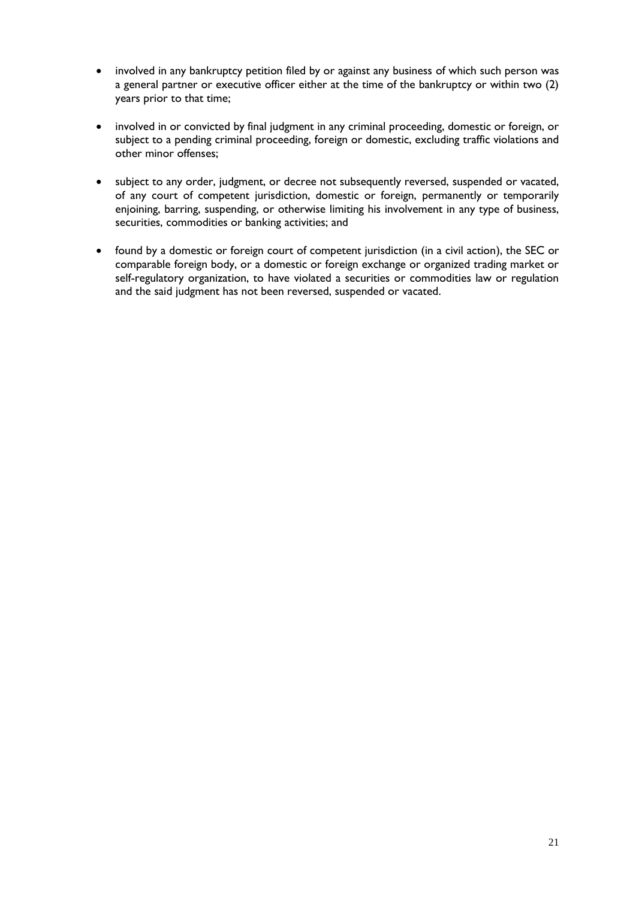- involved in any bankruptcy petition filed by or against any business of which such person was a general partner or executive officer either at the time of the bankruptcy or within two (2) years prior to that time;
- involved in or convicted by final judgment in any criminal proceeding, domestic or foreign, or subject to a pending criminal proceeding, foreign or domestic, excluding traffic violations and other minor offenses;
- subject to any order, judgment, or decree not subsequently reversed, suspended or vacated, of any court of competent jurisdiction, domestic or foreign, permanently or temporarily enjoining, barring, suspending, or otherwise limiting his involvement in any type of business, securities, commodities or banking activities; and
- found by a domestic or foreign court of competent jurisdiction (in a civil action), the SEC or comparable foreign body, or a domestic or foreign exchange or organized trading market or self-regulatory organization, to have violated a securities or commodities law or regulation and the said judgment has not been reversed, suspended or vacated.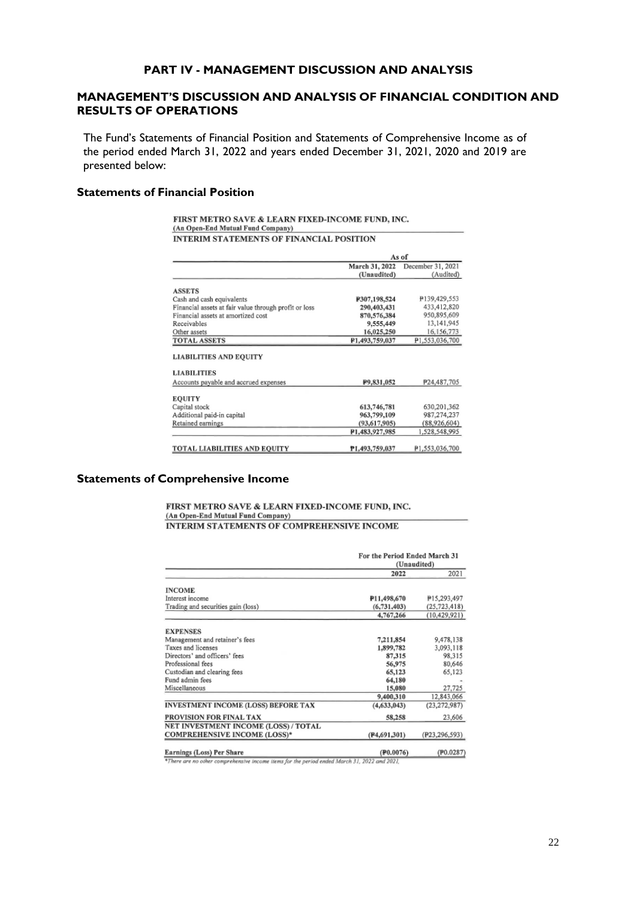### **PART IV - MANAGEMENT DISCUSSION AND ANALYSIS**

## **MANAGEMENT'S DISCUSSION AND ANALYSIS OF FINANCIAL CONDITION AND RESULTS OF OPERATIONS**

The Fund's Statements of Financial Position and Statements of Comprehensive Income as of the period ended March 31, 2022 and years ended December 31, 2021, 2020 and 2019 are presented below:

#### **Statements of Financial Position**

FIRST METRO SAVE & LEARN FIXED-INCOME FUND, INC. (An Open-End Mutual Fund Company) INTERIM STATEMENTS OF FINANCIAL POSITION

|                                                       | As of          |                   |
|-------------------------------------------------------|----------------|-------------------|
|                                                       | March 31, 2022 | December 31, 2021 |
|                                                       | (Unaudited)    | (Audited)         |
| <b>ASSETS</b>                                         |                |                   |
| Cash and cash equivalents                             | P307,198,524   | P139,429,553      |
| Financial assets at fair value through profit or loss | 290,403,431    | 433,412,820       |
| Financial assets at amortized cost                    | 870,576,384    | 950,895,609       |
| Receivables                                           | 9,555,449      | 13,141,945        |
| Other assets                                          | 16,025,250     | 16,156,773        |
| <b>TOTAL ASSETS</b>                                   | P1.493.759.037 | P1.553.036.700    |
| <b>LIABILITIES</b>                                    |                |                   |
| Accounts payable and accrued expenses                 | P9,831,052     | P24,487,705       |
| <b>EQUITY</b>                                         |                |                   |
| Capital stock                                         | 613,746,781    | 630,201,362       |
| Additional paid-in capital                            | 963,799,109    | 987,274,237       |
| Retained earnings                                     | (93,617,905)   | (88,926,604)      |
|                                                       | P1.483,927,985 | 1,528,548,995     |
| <b>TOTAL LIABILITIES AND EOUITY</b>                   | P1.493.759.037 | P1.553.036.700    |

#### **Statements of Comprehensive Income**

#### FIRST METRO SAVE & LEARN FIXED-INCOME FUND, INC. (An Open-End Mutual Fund Company) INTERIM STATEMENTS OF COMPREHENSIVE INCOME

|                                            |                           | For the Period Ended March 31<br>(Unaudited) |  |
|--------------------------------------------|---------------------------|----------------------------------------------|--|
|                                            | 2022                      | 2021                                         |  |
| <b>INCOME</b>                              |                           |                                              |  |
| Interest income                            | P11,498,670               | P15,293,497                                  |  |
| Trading and securities gain (loss)         | (6, 731, 403)             | (25, 723, 418)                               |  |
|                                            | 4,767,266                 | (10, 429, 921)                               |  |
| <b>EXPENSES</b>                            |                           |                                              |  |
| Management and retainer's fees             | 7,211,854                 | 9,478,138                                    |  |
| Taxes and licenses                         | 1,899,782                 | 3,093,118                                    |  |
| Directors' and officers' fees              | 87,315                    | 98,315                                       |  |
| Professional fees                          | 56,975                    | 80,646                                       |  |
| Custodian and clearing fees                | 65,123                    | 65,123                                       |  |
| Fund admin fees                            | 64,180                    |                                              |  |
| Miscellaneous                              | 15,080                    | 27,725                                       |  |
|                                            | 9,400,310                 | 12,843,066                                   |  |
| <b>INVESTMENT INCOME (LOSS) BEFORE TAX</b> | (4,633,043)               | (23, 272, 987)                               |  |
| PROVISION FOR FINAL TAX                    | 58,258                    | 23,606                                       |  |
| NET INVESTMENT INCOME (LOSS) / TOTAL       |                           |                                              |  |
| <b>COMPREHENSIVE INCOME (LOSS)*</b>        | (P4,691,301)              | (P23,296,593)                                |  |
| Earnings (Loss) Per Share                  | $($ P <sub>0</sub> .0076) | (120.0287)                                   |  |

Earnings (Loss) Per Share<br>
\*There are no other comprehensive income items for the period ended March 31, 2022 and 2021,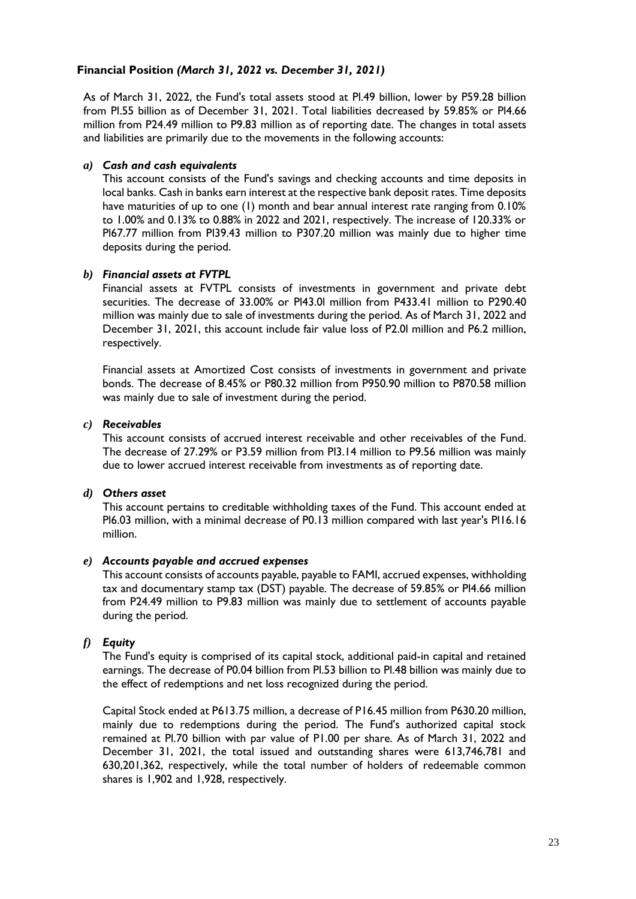## **Financial Position** *(March 31, 2022 vs. December 31, 2021)*

As of March 31, 2022, the Fund's total assets stood at Pl.49 billion, lower by P59.28 billion from Pl.55 billion as of December 31, 2021. Total liabilities decreased by 59.85% or Pl4.66 million from P24.49 million to P9.83 million as of reporting date. The changes in total assets and liabilities are primarily due to the movements in the following accounts:

## *a) Cash and cash equivalents*

This account consists of the Fund's savings and checking accounts and time deposits in local banks. Cash in banks earn interest at the respective bank deposit rates. Time deposits have maturities of up to one (1) month and bear annual interest rate ranging from 0.10% to 1.00% and 0.13% to 0.88% in 2022 and 2021, respectively. The increase of 120.33% or Pl67.77 million from Pl39.43 million to P307.20 million was mainly due to higher time deposits during the period.

## *b) Financial assets at FVTPL*

Financial assets at FVTPL consists of investments in government and private debt securities. The decrease of 33.00% or Pl43.0l million from P433.41 million to P290.40 million was mainly due to sale of investments during the period. As of March 31, 2022 and December 31, 2021, this account include fair value loss of P2.0l million and P6.2 million, respectively.

Financial assets at Amortized Cost consists of investments in government and private bonds. The decrease of 8.45% or P80.32 million from P950.90 million to P870.58 million was mainly due to sale of investment during the period.

## *c) Receivables*

This account consists of accrued interest receivable and other receivables of the Fund. The decrease of 27.29% or P3.59 million from Pl3.14 million to P9.56 million was mainly due to lower accrued interest receivable from investments as of reporting date.

### *d) Others asset*

This account pertains to creditable withholding taxes of the Fund. This account ended at Pl6.03 million, with a minimal decrease of P0.13 million compared with last year's Pl16.16 million.

### *e) Accounts payable and accrued expenses*

This account consists of accounts payable, payable to FAMI, accrued expenses, withholding tax and documentary stamp tax (DST) payable. The decrease of 59.85% or Pl4.66 million from P24.49 million to P9.83 million was mainly due to settlement of accounts payable during the period.

## *f) Equity*

The Fund's equity is comprised of its capital stock, additional paid-in capital and retained earnings. The decrease of P0.04 billion from Pl.53 billion to Pl.48 billion was mainly due to the effect of redemptions and net loss recognized during the period.

Capital Stock ended at P613.75 million, a decrease of P16.45 million from P630.20 million, mainly due to redemptions during the period. The Fund's authorized capital stock remained at Pl.70 billion with par value of P1.00 per share. As of March 31, 2022 and December 31, 2021, the total issued and outstanding shares were 613,746,781 and 630,201,362, respectively, while the total number of holders of redeemable common shares is 1,902 and 1,928, respectively.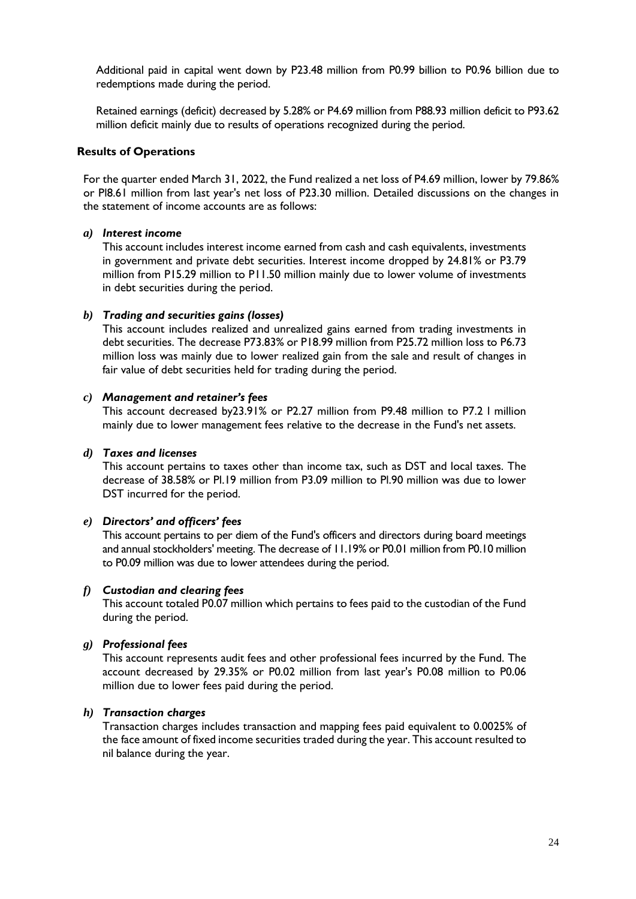Additional paid in capital went down by P23.48 million from P0.99 billion to P0.96 billion due to redemptions made during the period.

Retained earnings (deficit) decreased by 5.28% or P4.69 million from P88.93 million deficit to P93.62 million deficit mainly due to results of operations recognized during the period.

#### **Results of Operations**

For the quarter ended March 31, 2022, the Fund realized a net loss of P4.69 million, lower by 79.86% or Pl8.61 million from last year's net loss of P23.30 million. Detailed discussions on the changes in the statement of income accounts are as follows:

#### *a) Interest income*

This account includes interest income earned from cash and cash equivalents, investments in government and private debt securities. Interest income dropped by 24.81% or P3.79 million from P15.29 million to P11.50 million mainly due to lower volume of investments in debt securities during the period.

#### *b) Trading and securities gains (losses)*

This account includes realized and unrealized gains earned from trading investments in debt securities. The decrease P73.83% or P18.99 million from P25.72 million loss to P6.73 million loss was mainly due to lower realized gain from the sale and result of changes in fair value of debt securities held for trading during the period.

#### *c) Management and retainer's fees*

This account decreased by23.91% or P2.27 million from P9.48 million to P7.2 l million mainly due to lower management fees relative to the decrease in the Fund's net assets.

#### *d) Taxes and licenses*

This account pertains to taxes other than income tax, such as DST and local taxes. The decrease of 38.58% or Pl.19 million from P3.09 million to Pl.90 million was due to lower DST incurred for the period.

### *e) Directors' and officers' fees*

This account pertains to per diem of the Fund's officers and directors during board meetings and annual stockholders' meeting. The decrease of 11.19% or P0.01 million from P0.10 million to P0.09 million was due to lower attendees during the period.

## *f) Custodian and clearing fees*

This account totaled P0.07 million which pertains to fees paid to the custodian of the Fund during the period.

### *g) Professional fees*

This account represents audit fees and other professional fees incurred by the Fund. The account decreased by 29.35% or P0.02 million from last year's P0.08 million to P0.06 million due to lower fees paid during the period.

### *h) Transaction charges*

Transaction charges includes transaction and mapping fees paid equivalent to 0.0025% of the face amount of fixed income securities traded during the year. This account resulted to nil balance during the year.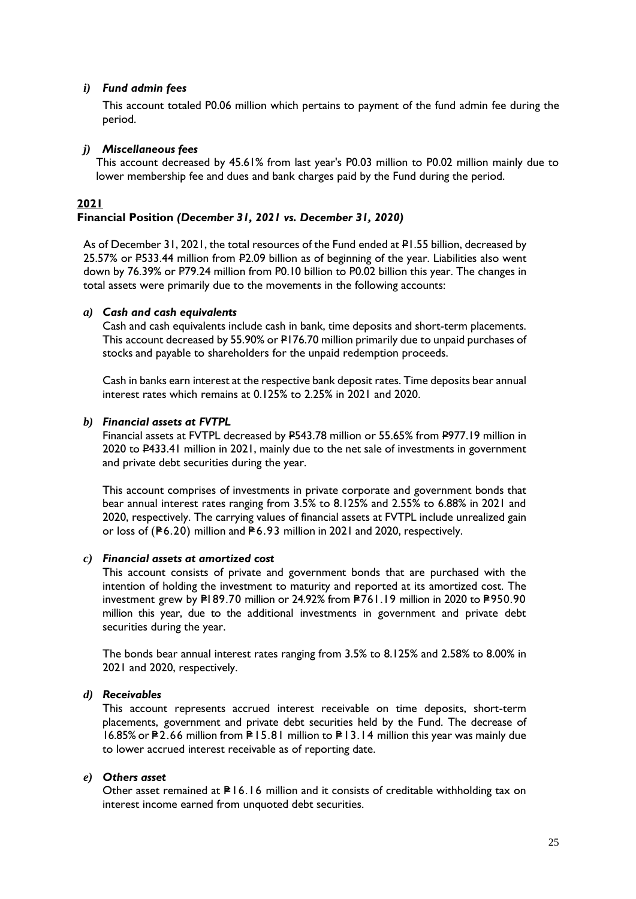### *i) Fund admin fees*

This account totaled P0.06 million which pertains to payment of the fund admin fee during the period.

### *j) Miscellaneous fees*

This account decreased by 45.61% from last year's P0.03 million to P0.02 million mainly due to lower membership fee and dues and bank charges paid by the Fund during the period.

### **2021 Financial Position** *(December 31, 2021 vs. December 31, 2020)*

As of December 31, 2021, the total resources of the Fund ended at P1.55 billion, decreased by 25.57% or P533.44 million from P2.09 billion as of beginning of the year. Liabilities also went down by 76.39% or P79.24 million from P0.10 billion to P0.02 billion this year. The changes in total assets were primarily due to the movements in the following accounts:

### *a) Cash and cash equivalents*

Cash and cash equivalents include cash in bank, time deposits and short-term placements. This account decreased by 55.90% or P176.70 million primarily due to unpaid purchases of stocks and payable to shareholders for the unpaid redemption proceeds.

Cash in banks earn interest at the respective bank deposit rates. Time deposits bear annual interest rates which remains at 0.125% to 2.25% in 2021 and 2020.

#### *b) Financial assets at FVTPL*

Financial assets at FVTPL decreased by P543.78 million or 55.65% from P977.19 million in 2020 to P433.41 million in 2021, mainly due to the net sale of investments in government and private debt securities during the year.

This account comprises of investments in private corporate and government bonds that bear annual interest rates ranging from 3.5% to 8.125% and 2.55% to 6.88% in 2021 and 2020, respectively. The carrying values of financial assets at FVTPL include unrealized gain or loss of ( $P6.20$ ) million and  $P6.93$  million in 2021 and 2020, respectively.

## *c) Financial assets at amortized cost*

This account consists of private and government bonds that are purchased with the intention of holding the investment to maturity and reported at its amortized cost. The investment grew by  $PI 89.70$  million or 24.92% from  $PI61.19$  million in 2020 to  $PI50.90$ million this year, due to the additional investments in government and private debt securities during the year.

The bonds bear annual interest rates ranging from 3.5% to 8.125% and 2.58% to 8.00% in 2021 and 2020, respectively.

## *d) Receivables*

This account represents accrued interest receivable on time deposits, short-term placements, government and private debt securities held by the Fund. The decrease of 16.85% or P2.66 million from P15.81 million to P13.14 million this year was mainly due to lower accrued interest receivable as of reporting date.

### *e) Others asset*

Other asset remained at  $P16.16$  million and it consists of creditable withholding tax on interest income earned from unquoted debt securities.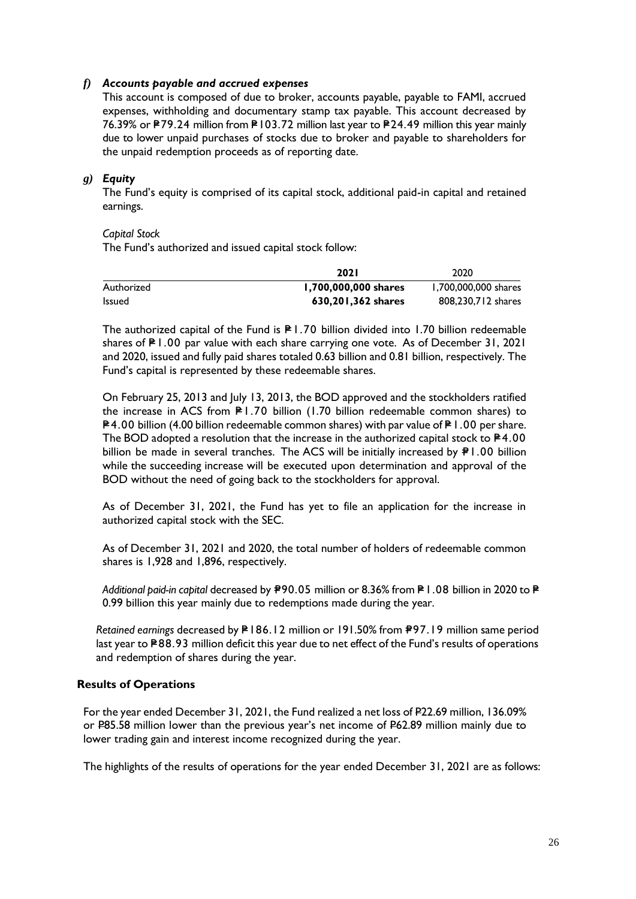## *f) Accounts payable and accrued expenses*

This account is composed of due to broker, accounts payable, payable to FAMI, accrued expenses, withholding and documentary stamp tax payable. This account decreased by 76.39% or P79.24 million from P103.72 million last year to P24.49 million this year mainly due to lower unpaid purchases of stocks due to broker and payable to shareholders for the unpaid redemption proceeds as of reporting date.

## *g) Equity*

The Fund's equity is comprised of its capital stock, additional paid-in capital and retained earnings.

### *Capital Stock*

The Fund's authorized and issued capital stock follow:

|            | <b>2021</b>          | 2020                 |
|------------|----------------------|----------------------|
| Authorized | 1,700,000,000 shares | 1.700.000.000 shares |
| Issued     | 630,201,362 shares   | 808.230.712 shares   |

The authorized capital of the Fund is  $P1.70$  billion divided into 1.70 billion redeemable shares of  $P1.00$  par value with each share carrying one vote. As of December 31, 2021 and 2020, issued and fully paid shares totaled 0.63 billion and 0.81 billion, respectively. The Fund's capital is represented by these redeemable shares.

On February 25, 2013 and July 13, 2013, the BOD approved and the stockholders ratified the increase in ACS from  $P1.70$  billion (1.70 billion redeemable common shares) to  $P=4.00$  billion (4.00 billion redeemable common shares) with par value of P I .00 per share. The BOD adopted a resolution that the increase in the authorized capital stock to  $P4.00$ billion be made in several tranches. The ACS will be initially increased by  $\mathbb{P}1.00$  billion while the succeeding increase will be executed upon determination and approval of the BOD without the need of going back to the stockholders for approval.

As of December 31, 2021, the Fund has yet to file an application for the increase in authorized capital stock with the SEC.

As of December 31, 2021 and 2020, the total number of holders of redeemable common shares is 1,928 and 1,896, respectively.

*Additional paid-in capital* decreased by  $\overline{P}$ 90.05 million or 8.36% from  $\overline{P}$ 1.08 billion in 2020 to  $\overline{P}$ 0.99 billion this year mainly due to redemptions made during the year.

*Retained earnings* decreased by  $P186.12$  million or 191.50% from P97.19 million same period last year to P88.93 million deficit this year due to net effect of the Fund's results of operations and redemption of shares during the year.

## **Results of Operations**

For the year ended December 31, 2021, the Fund realized a net loss of P22.69 million, 136.09% or P85.58 million lower than the previous year's net income of P62.89 million mainly due to lower trading gain and interest income recognized during the year.

The highlights of the results of operations for the year ended December 31, 2021 are as follows: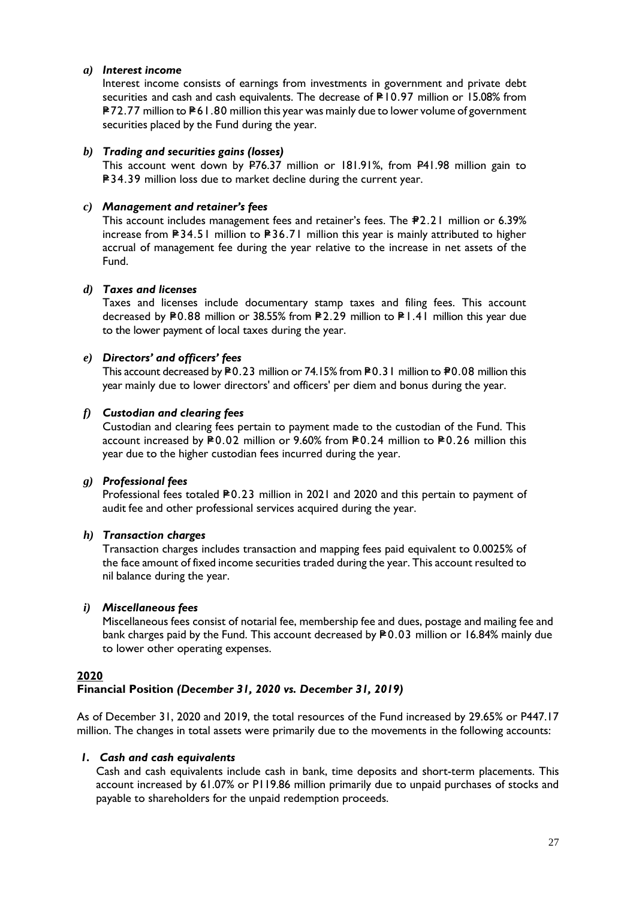## *a) Interest income*

Interest income consists of earnings from investments in government and private debt securities and cash and cash equivalents. The decrease of P10.97 million or 15.08% from P72.77 million to P61.80 million this year was mainly due to lower volume of government securities placed by the Fund during the year.

## *b) Trading and securities gains (losses)*

This account went down by P76.37 million or 181.91%, from P41.98 million gain to P34.39 million loss due to market decline during the current year.

## *c) Management and retainer's fees*

This account includes management fees and retainer's fees. The  $\texttt{P2.21}$  million or 6.39% increase from  $\blacktriangleright$  34.51 million to  $\blacktriangleright$  36.71 million this year is mainly attributed to higher accrual of management fee during the year relative to the increase in net assets of the Fund.

## *d) Taxes and licenses*

Taxes and licenses include documentary stamp taxes and filing fees. This account decreased by P0.88 million or 38.55% from P2.29 million to P1.41 million this year due to the lower payment of local taxes during the year.

## *e) Directors' and officers' fees*

This account decreased by P0.23 million or 74.15% from P0.31 million to P0.08 million this year mainly due to lower directors' and officers' per diem and bonus during the year.

## *f) Custodian and clearing fees*

Custodian and clearing fees pertain to payment made to the custodian of the Fund. This account increased by  $P$ 0.02 million or 9.60% from P0.24 million to P0.26 million this year due to the higher custodian fees incurred during the year.

## *g) Professional fees*

Professional fees totaled  $P$ 0.23 million in 2021 and 2020 and this pertain to payment of audit fee and other professional services acquired during the year.

## *h) Transaction charges*

Transaction charges includes transaction and mapping fees paid equivalent to 0.0025% of the face amount of fixed income securities traded during the year. This account resulted to nil balance during the year.

## *i) Miscellaneous fees*

Miscellaneous fees consist of notarial fee, membership fee and dues, postage and mailing fee and bank charges paid by the Fund. This account decreased by  $P0.03$  million or 16.84% mainly due to lower other operating expenses.

## **2020**

## **Financial Position** *(December 31, 2020 vs. December 31, 2019)*

As of December 31, 2020 and 2019, the total resources of the Fund increased by 29.65% or P447.17 million. The changes in total assets were primarily due to the movements in the following accounts:

### *1. Cash and cash equivalents*

Cash and cash equivalents include cash in bank, time deposits and short-term placements. This account increased by 61.07% or P119.86 million primarily due to unpaid purchases of stocks and payable to shareholders for the unpaid redemption proceeds.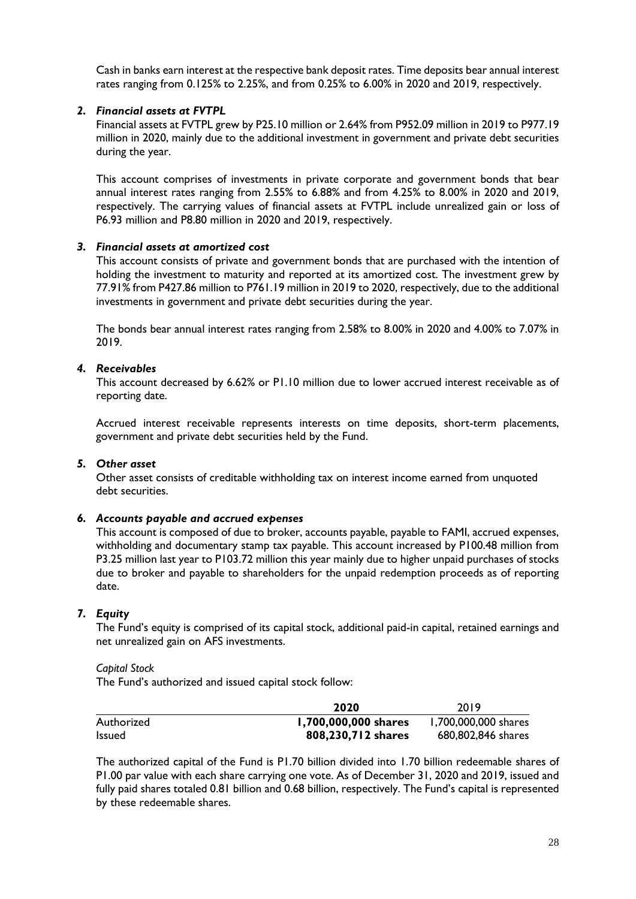Cash in banks earn interest at the respective bank deposit rates. Time deposits bear annual interest rates ranging from 0.125% to 2.25%, and from 0.25% to 6.00% in 2020 and 2019, respectively.

## *2. Financial assets at FVTPL*

Financial assets at FVTPL grew by P25.10 million or 2.64% from P952.09 million in 2019 to P977.19 million in 2020, mainly due to the additional investment in government and private debt securities during the year.

This account comprises of investments in private corporate and government bonds that bear annual interest rates ranging from 2.55% to 6.88% and from 4.25% to 8.00% in 2020 and 2019, respectively. The carrying values of financial assets at FVTPL include unrealized gain or loss of P6.93 million and P8.80 million in 2020 and 2019, respectively.

## *3. Financial assets at amortized cost*

This account consists of private and government bonds that are purchased with the intention of holding the investment to maturity and reported at its amortized cost. The investment grew by 77.91% from P427.86 million to P761.19 million in 2019 to 2020, respectively, due to the additional investments in government and private debt securities during the year.

The bonds bear annual interest rates ranging from 2.58% to 8.00% in 2020 and 4.00% to 7.07% in 2019.

## *4. Receivables*

This account decreased by 6.62% or P1.10 million due to lower accrued interest receivable as of reporting date.

Accrued interest receivable represents interests on time deposits, short-term placements, government and private debt securities held by the Fund.

## *5. Other asset*

Other asset consists of creditable withholding tax on interest income earned from unquoted debt securities.

### *6. Accounts payable and accrued expenses*

This account is composed of due to broker, accounts payable, payable to FAMI, accrued expenses, withholding and documentary stamp tax payable. This account increased by P100.48 million from P3.25 million last year to P103.72 million this year mainly due to higher unpaid purchases of stocks due to broker and payable to shareholders for the unpaid redemption proceeds as of reporting date.

## *7. Equity*

The Fund's equity is comprised of its capital stock, additional paid-in capital, retained earnings and net unrealized gain on AFS investments.

*Capital Stock*

The Fund's authorized and issued capital stock follow:

|               | 2020                 | 2019                 |
|---------------|----------------------|----------------------|
| Authorized    | 1,700,000,000 shares | 1,700,000,000 shares |
| <b>Issued</b> | 808,230,712 shares   | 680,802,846 shares   |

The authorized capital of the Fund is P1.70 billion divided into 1.70 billion redeemable shares of P1.00 par value with each share carrying one vote. As of December 31, 2020 and 2019, issued and fully paid shares totaled 0.81 billion and 0.68 billion, respectively. The Fund's capital is represented by these redeemable shares.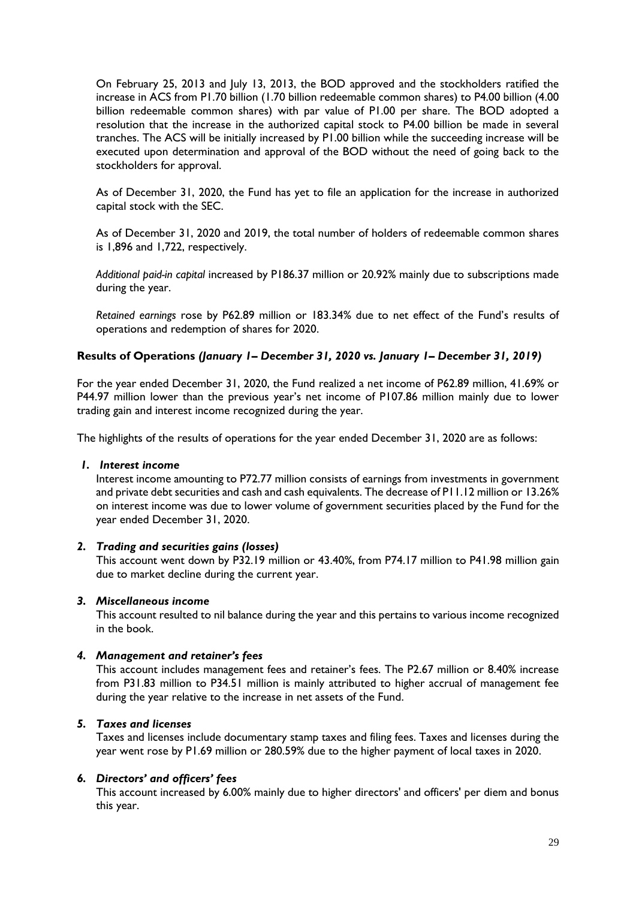On February 25, 2013 and July 13, 2013, the BOD approved and the stockholders ratified the increase in ACS from P1.70 billion (1.70 billion redeemable common shares) to P4.00 billion (4.00 billion redeemable common shares) with par value of P1.00 per share. The BOD adopted a resolution that the increase in the authorized capital stock to P4.00 billion be made in several tranches. The ACS will be initially increased by P1.00 billion while the succeeding increase will be executed upon determination and approval of the BOD without the need of going back to the stockholders for approval.

As of December 31, 2020, the Fund has yet to file an application for the increase in authorized capital stock with the SEC.

As of December 31, 2020 and 2019, the total number of holders of redeemable common shares is 1,896 and 1,722, respectively.

*Additional paid-in capital* increased by P186.37 million or 20.92% mainly due to subscriptions made during the year.

*Retained earnings* rose by P62.89 million or 183.34% due to net effect of the Fund's results of operations and redemption of shares for 2020.

## **Results of Operations** *(January 1– December 31, 2020 vs. January 1– December 31, 2019)*

For the year ended December 31, 2020, the Fund realized a net income of P62.89 million, 41.69% or P44.97 million lower than the previous year's net income of P107.86 million mainly due to lower trading gain and interest income recognized during the year.

The highlights of the results of operations for the year ended December 31, 2020 are as follows:

### *1. Interest income*

Interest income amounting to P72.77 million consists of earnings from investments in government and private debt securities and cash and cash equivalents. The decrease of P11.12 million or 13.26% on interest income was due to lower volume of government securities placed by the Fund for the year ended December 31, 2020.

## *2. Trading and securities gains (losses)*

This account went down by P32.19 million or 43.40%, from P74.17 million to P41.98 million gain due to market decline during the current year.

### *3. Miscellaneous income*

This account resulted to nil balance during the year and this pertains to various income recognized in the book.

### *4. Management and retainer's fees*

This account includes management fees and retainer's fees. The P2.67 million or 8.40% increase from P31.83 million to P34.51 million is mainly attributed to higher accrual of management fee during the year relative to the increase in net assets of the Fund.

### *5. Taxes and licenses*

Taxes and licenses include documentary stamp taxes and filing fees. Taxes and licenses during the year went rose by P1.69 million or 280.59% due to the higher payment of local taxes in 2020.

### *6. Directors' and officers' fees*

This account increased by 6.00% mainly due to higher directors' and officers' per diem and bonus this year.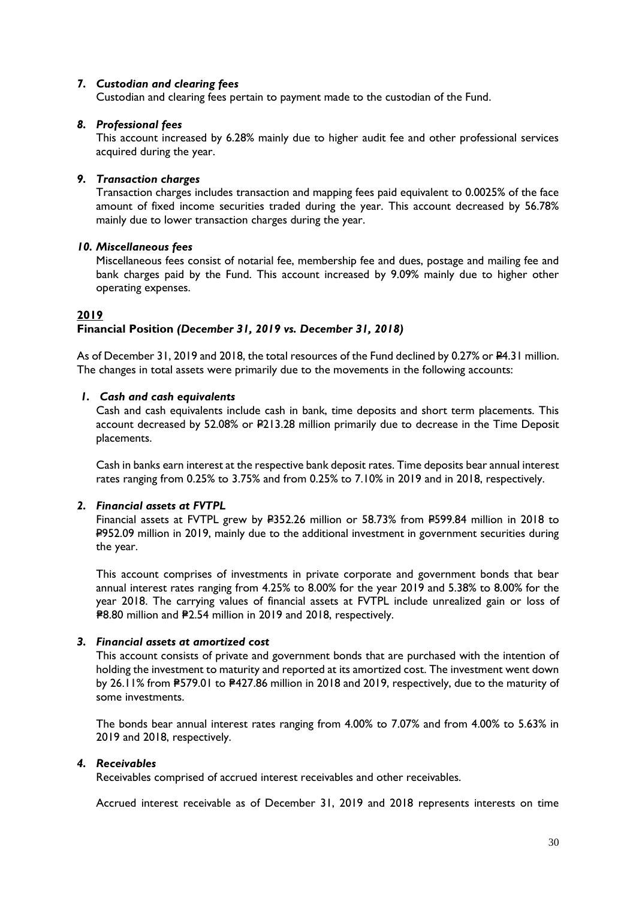## *7. Custodian and clearing fees*

Custodian and clearing fees pertain to payment made to the custodian of the Fund.

### *8. Professional fees*

This account increased by 6.28% mainly due to higher audit fee and other professional services acquired during the year.

### *9. Transaction charges*

Transaction charges includes transaction and mapping fees paid equivalent to 0.0025% of the face amount of fixed income securities traded during the year. This account decreased by 56.78% mainly due to lower transaction charges during the year.

#### *10. Miscellaneous fees*

Miscellaneous fees consist of notarial fee, membership fee and dues, postage and mailing fee and bank charges paid by the Fund. This account increased by 9.09% mainly due to higher other operating expenses.

#### **2019 Financial Position** *(December 31, 2019 vs. December 31, 2018)*

As of December 31, 2019 and 2018, the total resources of the Fund declined by 0.27% or  $24.31$  million. The changes in total assets were primarily due to the movements in the following accounts:

### *1. Cash and cash equivalents*

Cash and cash equivalents include cash in bank, time deposits and short term placements. This account decreased by 52.08% or P213.28 million primarily due to decrease in the Time Deposit placements.

Cash in banks earn interest at the respective bank deposit rates. Time deposits bear annual interest rates ranging from 0.25% to 3.75% and from 0.25% to 7.10% in 2019 and in 2018, respectively.

### *2. Financial assets at FVTPL*

Financial assets at FVTPL grew by #352.26 million or 58.73% from #599.84 million in 2018 to P952.09 million in 2019, mainly due to the additional investment in government securities during the year.

This account comprises of investments in private corporate and government bonds that bear annual interest rates ranging from 4.25% to 8.00% for the year 2019 and 5.38% to 8.00% for the year 2018. The carrying values of financial assets at FVTPL include unrealized gain or loss of =P8.80 million and =P2.54 million in 2019 and 2018, respectively.

### *3. Financial assets at amortized cost*

This account consists of private and government bonds that are purchased with the intention of holding the investment to maturity and reported at its amortized cost. The investment went down by 26.11% from P579.01 to P427.86 million in 2018 and 2019, respectively, due to the maturity of some investments.

The bonds bear annual interest rates ranging from 4.00% to 7.07% and from 4.00% to 5.63% in 2019 and 2018, respectively.

### *4. Receivables*

Receivables comprised of accrued interest receivables and other receivables.

Accrued interest receivable as of December 31, 2019 and 2018 represents interests on time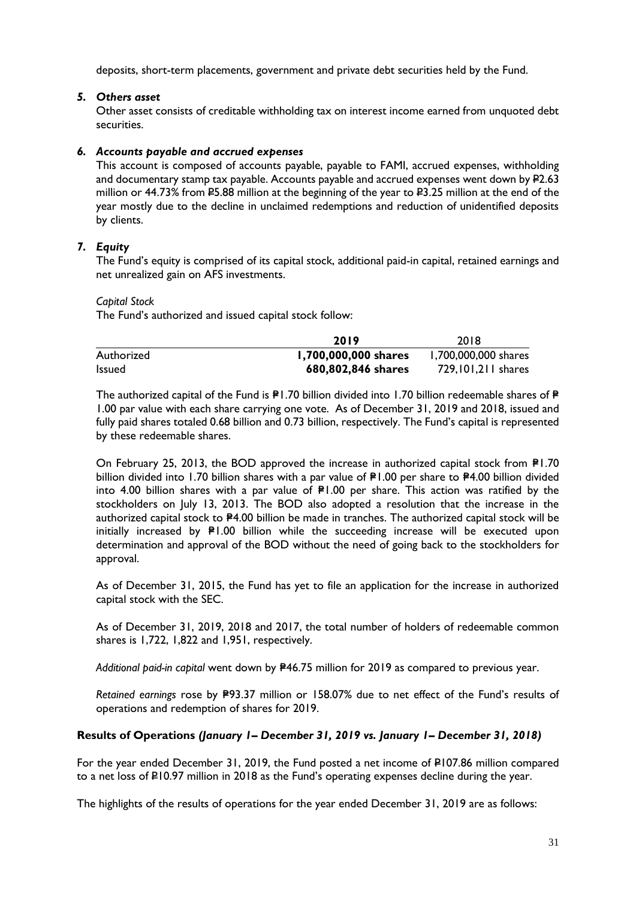deposits, short-term placements, government and private debt securities held by the Fund.

## *5. Others asset*

Other asset consists of creditable withholding tax on interest income earned from unquoted debt securities.

## *6. Accounts payable and accrued expenses*

This account is composed of accounts payable, payable to FAMI, accrued expenses, withholding and documentary stamp tax payable. Accounts payable and accrued expenses went down by  $P2.63$ million or 44.73% from P5.88 million at the beginning of the year to P3.25 million at the end of the year mostly due to the decline in unclaimed redemptions and reduction of unidentified deposits by clients.

## *7. Equity*

The Fund's equity is comprised of its capital stock, additional paid-in capital, retained earnings and net unrealized gain on AFS investments.

### *Capital Stock*

The Fund's authorized and issued capital stock follow:

|               | 2019                 | 2018                 |
|---------------|----------------------|----------------------|
| Authorized    | 1,700,000,000 shares | 1,700,000,000 shares |
| <b>Issued</b> | 680,802,846 shares   | 729, 101, 211 shares |

The authorized capital of the Fund is  $P1.70$  billion divided into 1.70 billion redeemable shares of  $P$ 1.00 par value with each share carrying one vote. As of December 31, 2019 and 2018, issued and fully paid shares totaled 0.68 billion and 0.73 billion, respectively. The Fund's capital is represented by these redeemable shares.

On February 25, 2013, the BOD approved the increase in authorized capital stock from  $P1.70$ billion divided into 1.70 billion shares with a par value of  $P1.00$  per share to  $P4.00$  billion divided into 4.00 billion shares with a par value of  $P1.00$  per share. This action was ratified by the stockholders on July 13, 2013. The BOD also adopted a resolution that the increase in the authorized capital stock to P4.00 billion be made in tranches. The authorized capital stock will be initially increased by P1.00 billion while the succeeding increase will be executed upon determination and approval of the BOD without the need of going back to the stockholders for approval.

As of December 31, 2015, the Fund has yet to file an application for the increase in authorized capital stock with the SEC.

As of December 31, 2019, 2018 and 2017, the total number of holders of redeemable common shares is 1,722, 1,822 and 1,951, respectively.

Additional paid-in capital went down by **P46.75** million for 2019 as compared to previous year.

Retained earnings rose by P93.37 million or 158.07% due to net effect of the Fund's results of operations and redemption of shares for 2019.

### **Results of Operations** *(January 1– December 31, 2019 vs. January 1– December 31, 2018)*

For the year ended December 31, 2019, the Fund posted a net income of  $\neq$ 107.86 million compared to a net loss of P10.97 million in 2018 as the Fund's operating expenses decline during the year.

The highlights of the results of operations for the year ended December 31, 2019 are as follows: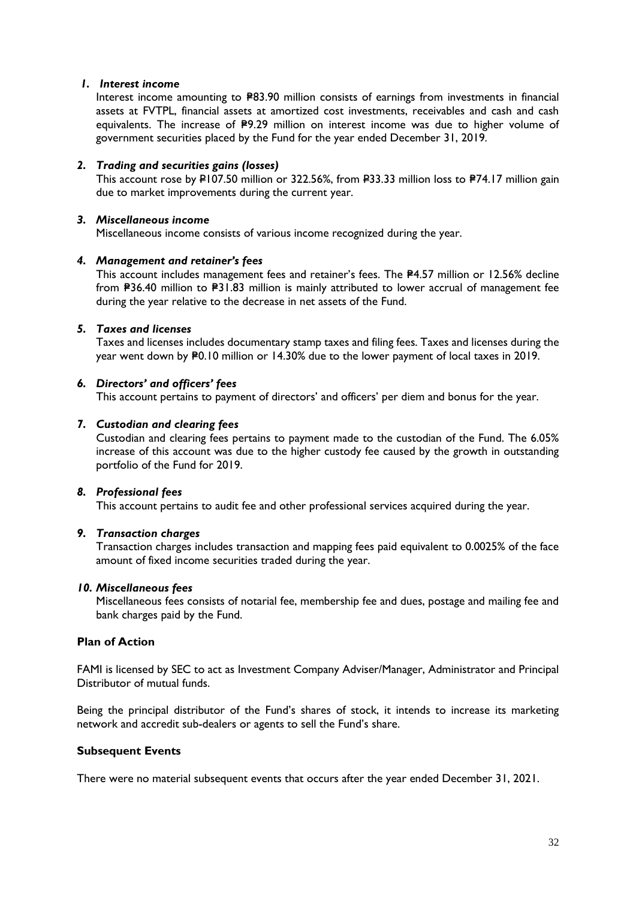## *1. Interest income*

Interest income amounting to P83.90 million consists of earnings from investments in financial assets at FVTPL, financial assets at amortized cost investments, receivables and cash and cash equivalents. The increase of P9.29 million on interest income was due to higher volume of government securities placed by the Fund for the year ended December 31, 2019.

## *2. Trading and securities gains (losses)*

This account rose by P107.50 million or 322.56%, from P33.33 million loss to P74.17 million gain due to market improvements during the current year.

### *3. Miscellaneous income*

Miscellaneous income consists of various income recognized during the year.

## *4. Management and retainer's fees*

This account includes management fees and retainer's fees. The P4.57 million or 12.56% decline from #36.40 million to #31.83 million is mainly attributed to lower accrual of management fee during the year relative to the decrease in net assets of the Fund.

## *5. Taxes and licenses*

Taxes and licenses includes documentary stamp taxes and filing fees. Taxes and licenses during the year went down by P0.10 million or 14.30% due to the lower payment of local taxes in 2019.

## *6. Directors' and officers' fees*

This account pertains to payment of directors' and officers' per diem and bonus for the year.

## *7. Custodian and clearing fees*

Custodian and clearing fees pertains to payment made to the custodian of the Fund. The 6.05% increase of this account was due to the higher custody fee caused by the growth in outstanding portfolio of the Fund for 2019.

### *8. Professional fees*

This account pertains to audit fee and other professional services acquired during the year.

## *9. Transaction charges*

Transaction charges includes transaction and mapping fees paid equivalent to 0.0025% of the face amount of fixed income securities traded during the year.

### *10. Miscellaneous fees*

Miscellaneous fees consists of notarial fee, membership fee and dues, postage and mailing fee and bank charges paid by the Fund.

## **Plan of Action**

FAMI is licensed by SEC to act as Investment Company Adviser/Manager, Administrator and Principal Distributor of mutual funds.

Being the principal distributor of the Fund's shares of stock, it intends to increase its marketing network and accredit sub-dealers or agents to sell the Fund's share.

### **Subsequent Events**

There were no material subsequent events that occurs after the year ended December 31, 2021.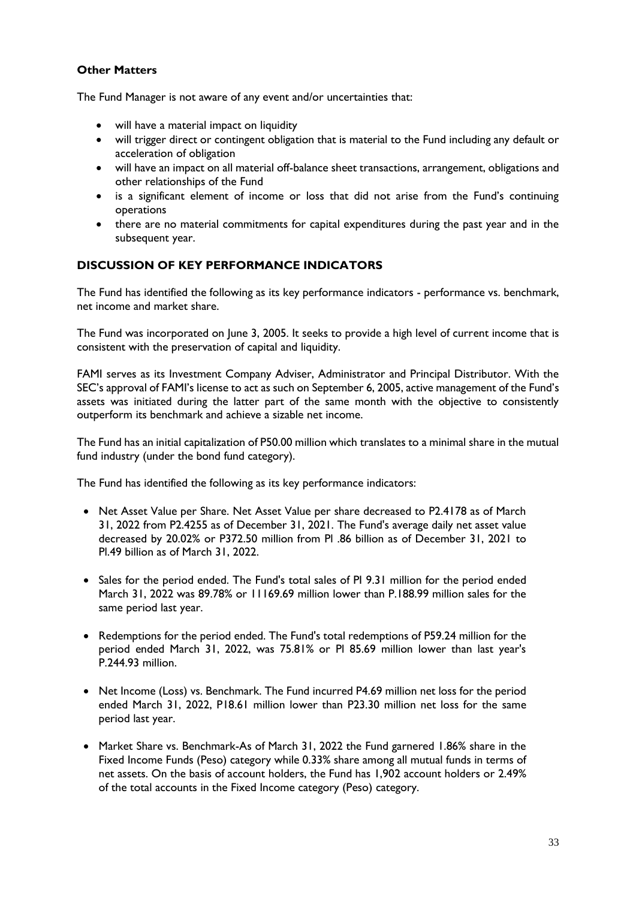## **Other Matters**

The Fund Manager is not aware of any event and/or uncertainties that:

- will have a material impact on liquidity
- will trigger direct or contingent obligation that is material to the Fund including any default or acceleration of obligation
- will have an impact on all material off-balance sheet transactions, arrangement, obligations and other relationships of the Fund
- is a significant element of income or loss that did not arise from the Fund's continuing operations
- there are no material commitments for capital expenditures during the past year and in the subsequent year.

## **DISCUSSION OF KEY PERFORMANCE INDICATORS**

The Fund has identified the following as its key performance indicators - performance vs. benchmark, net income and market share.

The Fund was incorporated on June 3, 2005. It seeks to provide a high level of current income that is consistent with the preservation of capital and liquidity.

FAMI serves as its Investment Company Adviser, Administrator and Principal Distributor. With the SEC's approval of FAMI's license to act as such on September 6, 2005, active management of the Fund's assets was initiated during the latter part of the same month with the objective to consistently outperform its benchmark and achieve a sizable net income.

The Fund has an initial capitalization of P50.00 million which translates to a minimal share in the mutual fund industry (under the bond fund category).

The Fund has identified the following as its key performance indicators:

- Net Asset Value per Share. Net Asset Value per share decreased to P2.4178 as of March 31, 2022 from P2.4255 as of December 31, 2021. The Fund's average daily net asset value decreased by 20.02% or P372.50 million from Pl .86 billion as of December 31, 2021 to Pl.49 billion as of March 31, 2022.
- Sales for the period ended. The Fund's total sales of PI 9.31 million for the period ended March 31, 2022 was 89.78% or 11169.69 million lower than P.188.99 million sales for the same period last year.
- Redemptions for the period ended. The Fund's total redemptions of P59.24 million for the period ended March 31, 2022, was 75.81% or Pl 85.69 million lower than last year's P.244.93 million.
- Net Income (Loss) vs. Benchmark. The Fund incurred P4.69 million net loss for the period ended March 31, 2022, P18.61 million lower than P23.30 million net loss for the same period last year.
- Market Share vs. Benchmark-As of March 31, 2022 the Fund garnered 1.86% share in the Fixed Income Funds (Peso) category while 0.33% share among all mutual funds in terms of net assets. On the basis of account holders, the Fund has 1,902 account holders or 2.49% of the total accounts in the Fixed Income category (Peso) category.